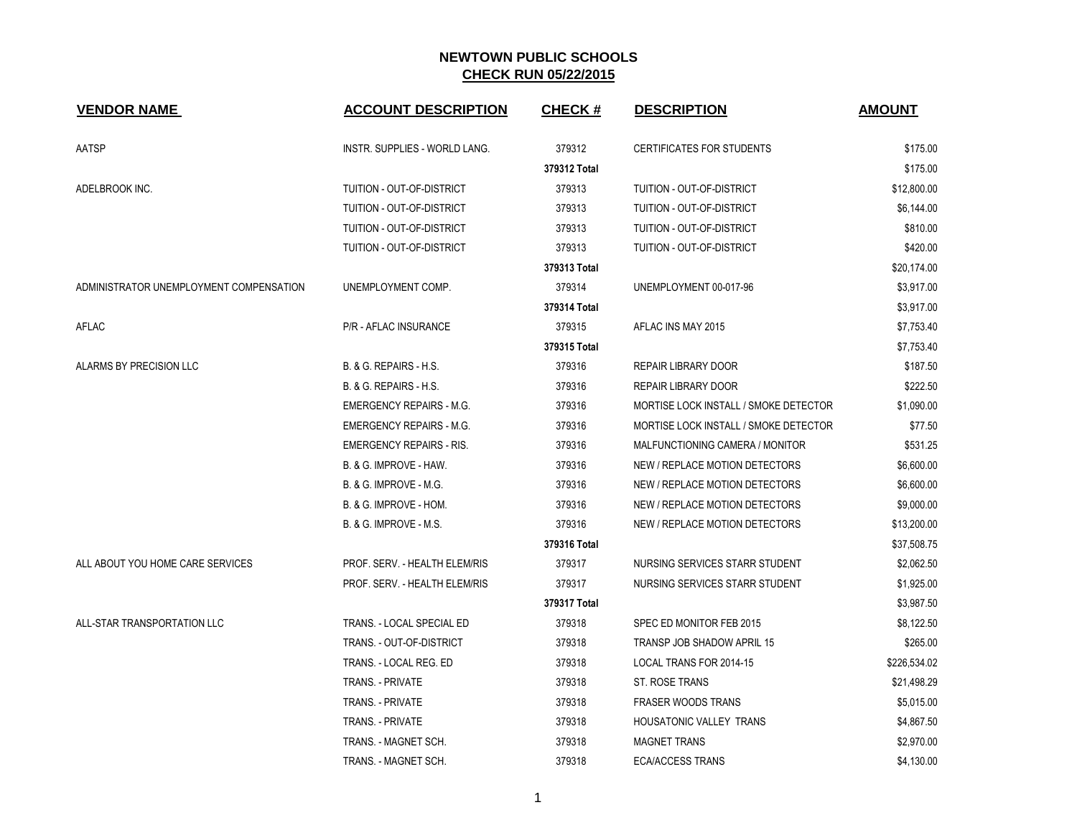| <b>VENDOR NAME</b>                      | <b>ACCOUNT DESCRIPTION</b>        | <b>CHECK#</b> | <b>DESCRIPTION</b>                    | <b>AMOUNT</b> |
|-----------------------------------------|-----------------------------------|---------------|---------------------------------------|---------------|
| AATSP                                   | INSTR. SUPPLIES - WORLD LANG.     | 379312        | <b>CERTIFICATES FOR STUDENTS</b>      | \$175.00      |
|                                         |                                   | 379312 Total  |                                       | \$175.00      |
| ADELBROOK INC.                          | TUITION - OUT-OF-DISTRICT         | 379313        | TUITION - OUT-OF-DISTRICT             | \$12,800.00   |
|                                         | TUITION - OUT-OF-DISTRICT         | 379313        | TUITION - OUT-OF-DISTRICT             | \$6,144.00    |
|                                         | TUITION - OUT-OF-DISTRICT         | 379313        | TUITION - OUT-OF-DISTRICT             | \$810.00      |
|                                         | TUITION - OUT-OF-DISTRICT         | 379313        | TUITION - OUT-OF-DISTRICT             | \$420.00      |
|                                         |                                   | 379313 Total  |                                       | \$20,174.00   |
| ADMINISTRATOR UNEMPLOYMENT COMPENSATION | UNEMPLOYMENT COMP.                | 379314        | UNEMPLOYMENT 00-017-96                | \$3,917.00    |
|                                         |                                   | 379314 Total  |                                       | \$3,917.00    |
| AFLAC                                   | P/R - AFLAC INSURANCE             | 379315        | AFLAC INS MAY 2015                    | \$7,753.40    |
|                                         |                                   | 379315 Total  |                                       | \$7,753.40    |
| ALARMS BY PRECISION LLC                 | B. & G. REPAIRS - H.S.            | 379316        | <b>REPAIR LIBRARY DOOR</b>            | \$187.50      |
|                                         | B. & G. REPAIRS - H.S.            | 379316        | <b>REPAIR LIBRARY DOOR</b>            | \$222.50      |
|                                         | <b>EMERGENCY REPAIRS - M.G.</b>   | 379316        | MORTISE LOCK INSTALL / SMOKE DETECTOR | \$1,090.00    |
|                                         | <b>EMERGENCY REPAIRS - M.G.</b>   | 379316        | MORTISE LOCK INSTALL / SMOKE DETECTOR | \$77.50       |
|                                         | <b>EMERGENCY REPAIRS - RIS.</b>   | 379316        | MALFUNCTIONING CAMERA / MONITOR       | \$531.25      |
|                                         | B. & G. IMPROVE - HAW.            | 379316        | NEW / REPLACE MOTION DETECTORS        | \$6,600.00    |
|                                         | <b>B. &amp; G. IMPROVE - M.G.</b> | 379316        | NEW / REPLACE MOTION DETECTORS        | \$6,600.00    |
|                                         | B. & G. IMPROVE - HOM.            | 379316        | NEW / REPLACE MOTION DETECTORS        | \$9,000.00    |
|                                         | <b>B. &amp; G. IMPROVE - M.S.</b> | 379316        | NEW / REPLACE MOTION DETECTORS        | \$13,200.00   |
|                                         |                                   | 379316 Total  |                                       | \$37,508.75   |
| ALL ABOUT YOU HOME CARE SERVICES        | PROF. SERV. - HEALTH ELEM/RIS     | 379317        | NURSING SERVICES STARR STUDENT        | \$2,062.50    |
|                                         | PROF. SERV. - HEALTH ELEM/RIS     | 379317        | NURSING SERVICES STARR STUDENT        | \$1,925.00    |
|                                         |                                   | 379317 Total  |                                       | \$3,987.50    |
| ALL-STAR TRANSPORTATION LLC             | TRANS. - LOCAL SPECIAL ED         | 379318        | SPEC ED MONITOR FEB 2015              | \$8,122.50    |
|                                         | TRANS. - OUT-OF-DISTRICT          | 379318        | <b>TRANSP JOB SHADOW APRIL 15</b>     | \$265.00      |
|                                         | TRANS. - LOCAL REG. ED            | 379318        | LOCAL TRANS FOR 2014-15               | \$226,534.02  |
|                                         | <b>TRANS. - PRIVATE</b>           | 379318        | ST. ROSE TRANS                        | \$21,498.29   |
|                                         | TRANS. - PRIVATE                  | 379318        | <b>FRASER WOODS TRANS</b>             | \$5,015.00    |
|                                         | TRANS. - PRIVATE                  | 379318        | HOUSATONIC VALLEY TRANS               | \$4,867.50    |
|                                         | TRANS. - MAGNET SCH.              | 379318        | <b>MAGNET TRANS</b>                   | \$2,970.00    |
|                                         | TRANS. - MAGNET SCH.              | 379318        | <b>ECA/ACCESS TRANS</b>               | \$4,130.00    |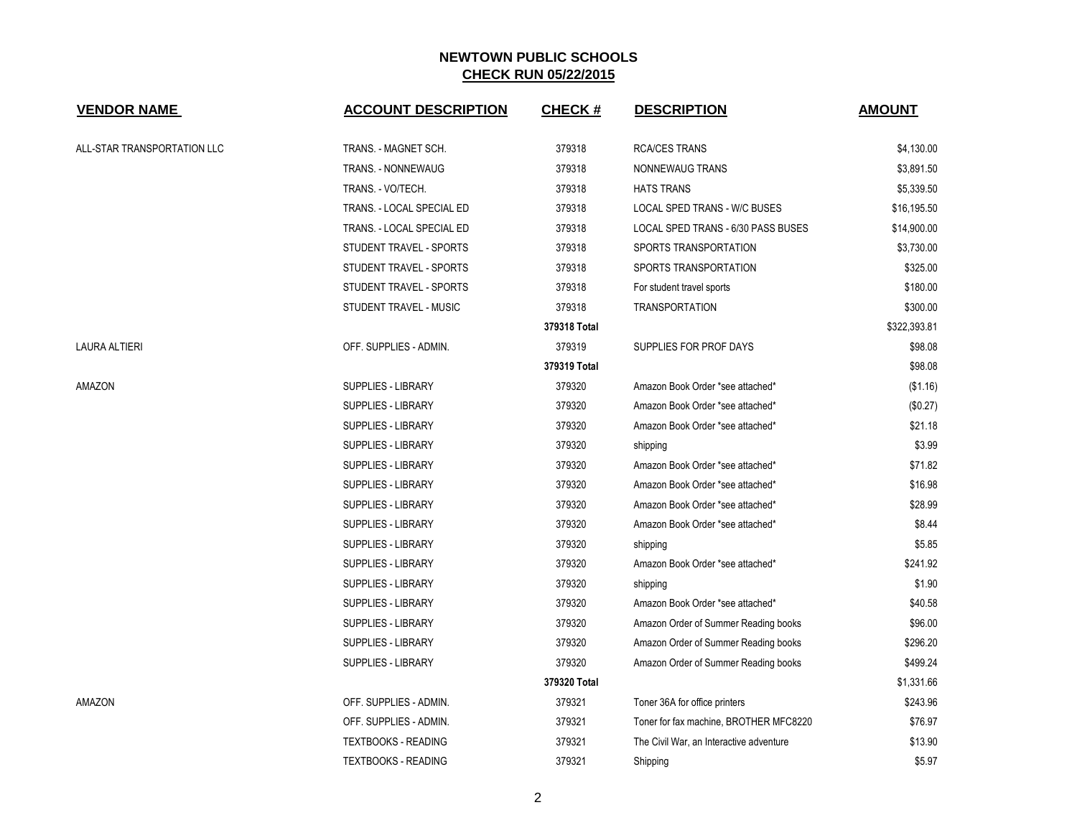| <b>VENDOR NAME</b>          | <b>ACCOUNT DESCRIPTION</b> | <b>CHECK#</b> | <b>DESCRIPTION</b>                      | <b>AMOUNT</b> |
|-----------------------------|----------------------------|---------------|-----------------------------------------|---------------|
| ALL-STAR TRANSPORTATION LLC | TRANS. - MAGNET SCH.       | 379318        | <b>RCA/CES TRANS</b>                    | \$4,130.00    |
|                             | <b>TRANS. - NONNEWAUG</b>  | 379318        | NONNEWAUG TRANS                         | \$3,891.50    |
|                             | TRANS. - VO/TECH.          | 379318        | <b>HATS TRANS</b>                       | \$5,339.50    |
|                             | TRANS. - LOCAL SPECIAL ED  | 379318        | LOCAL SPED TRANS - W/C BUSES            | \$16,195.50   |
|                             | TRANS. - LOCAL SPECIAL ED  | 379318        | LOCAL SPED TRANS - 6/30 PASS BUSES      | \$14,900.00   |
|                             | STUDENT TRAVEL - SPORTS    | 379318        | SPORTS TRANSPORTATION                   | \$3,730.00    |
|                             | STUDENT TRAVEL - SPORTS    | 379318        | SPORTS TRANSPORTATION                   | \$325.00      |
|                             | STUDENT TRAVEL - SPORTS    | 379318        | For student travel sports               | \$180.00      |
|                             | STUDENT TRAVEL - MUSIC     | 379318        | <b>TRANSPORTATION</b>                   | \$300.00      |
|                             |                            | 379318 Total  |                                         | \$322,393.81  |
| <b>LAURA ALTIERI</b>        | OFF. SUPPLIES - ADMIN.     | 379319        | SUPPLIES FOR PROF DAYS                  | \$98.08       |
|                             |                            | 379319 Total  |                                         | \$98.08       |
| AMAZON                      | <b>SUPPLIES - LIBRARY</b>  | 379320        | Amazon Book Order *see attached*        | (\$1.16)      |
|                             | <b>SUPPLIES - LIBRARY</b>  | 379320        | Amazon Book Order *see attached*        | (\$0.27)      |
|                             | <b>SUPPLIES - LIBRARY</b>  | 379320        | Amazon Book Order *see attached*        | \$21.18       |
|                             | <b>SUPPLIES - LIBRARY</b>  | 379320        | shipping                                | \$3.99        |
|                             | SUPPLIES - LIBRARY         | 379320        | Amazon Book Order *see attached*        | \$71.82       |
|                             | <b>SUPPLIES - LIBRARY</b>  | 379320        | Amazon Book Order *see attached*        | \$16.98       |
|                             | SUPPLIES - LIBRARY         | 379320        | Amazon Book Order *see attached*        | \$28.99       |
|                             | SUPPLIES - LIBRARY         | 379320        | Amazon Book Order *see attached*        | \$8.44        |
|                             | SUPPLIES - LIBRARY         | 379320        | shipping                                | \$5.85        |
|                             | <b>SUPPLIES - LIBRARY</b>  | 379320        | Amazon Book Order *see attached*        | \$241.92      |
|                             | <b>SUPPLIES - LIBRARY</b>  | 379320        | shipping                                | \$1.90        |
|                             | <b>SUPPLIES - LIBRARY</b>  | 379320        | Amazon Book Order *see attached*        | \$40.58       |
|                             | <b>SUPPLIES - LIBRARY</b>  | 379320        | Amazon Order of Summer Reading books    | \$96.00       |
|                             | SUPPLIES - LIBRARY         | 379320        | Amazon Order of Summer Reading books    | \$296.20      |
|                             | SUPPLIES - LIBRARY         | 379320        | Amazon Order of Summer Reading books    | \$499.24      |
|                             |                            | 379320 Total  |                                         | \$1,331.66    |
| AMAZON                      | OFF. SUPPLIES - ADMIN.     | 379321        | Toner 36A for office printers           | \$243.96      |
|                             | OFF. SUPPLIES - ADMIN.     | 379321        | Toner for fax machine, BROTHER MFC8220  | \$76.97       |
|                             | <b>TEXTBOOKS - READING</b> | 379321        | The Civil War, an Interactive adventure | \$13.90       |
|                             | <b>TEXTBOOKS - READING</b> | 379321        | Shipping                                | \$5.97        |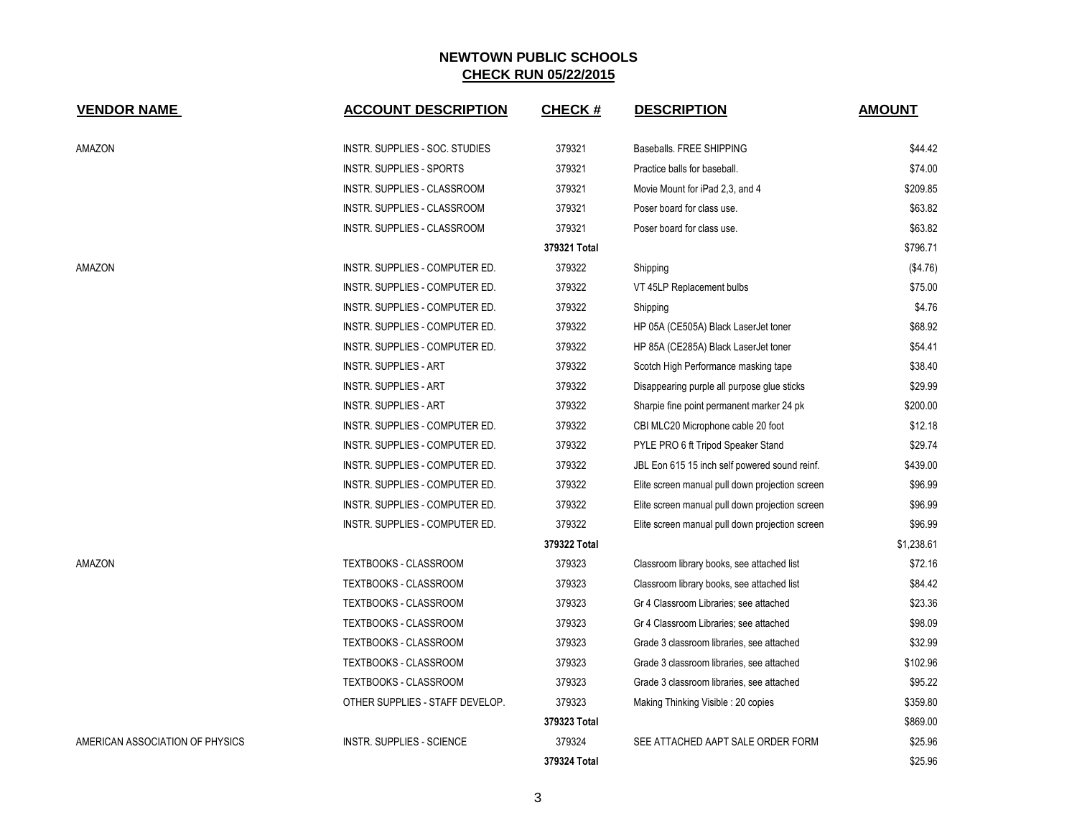| <b>VENDOR NAME</b>              | <b>ACCOUNT DESCRIPTION</b>       | <b>CHECK#</b> | <b>DESCRIPTION</b>                              | <b>AMOUNT</b> |
|---------------------------------|----------------------------------|---------------|-------------------------------------------------|---------------|
| AMAZON                          | INSTR. SUPPLIES - SOC. STUDIES   | 379321        | Baseballs, FREE SHIPPING                        | \$44.42       |
|                                 | <b>INSTR. SUPPLIES - SPORTS</b>  | 379321        | Practice balls for baseball.                    | \$74.00       |
|                                 | INSTR. SUPPLIES - CLASSROOM      | 379321        | Movie Mount for iPad 2,3, and 4                 | \$209.85      |
|                                 | INSTR. SUPPLIES - CLASSROOM      | 379321        | Poser board for class use.                      | \$63.82       |
|                                 | INSTR. SUPPLIES - CLASSROOM      | 379321        | Poser board for class use.                      | \$63.82       |
|                                 |                                  | 379321 Total  |                                                 | \$796.71      |
| AMAZON                          | INSTR. SUPPLIES - COMPUTER ED.   | 379322        | Shipping                                        | (\$4.76)      |
|                                 | INSTR. SUPPLIES - COMPUTER ED.   | 379322        | VT 45LP Replacement bulbs                       | \$75.00       |
|                                 | INSTR. SUPPLIES - COMPUTER ED.   | 379322        | Shipping                                        | \$4.76        |
|                                 | INSTR. SUPPLIES - COMPUTER ED.   | 379322        | HP 05A (CE505A) Black LaserJet toner            | \$68.92       |
|                                 | INSTR. SUPPLIES - COMPUTER ED.   | 379322        | HP 85A (CE285A) Black LaserJet toner            | \$54.41       |
|                                 | <b>INSTR. SUPPLIES - ART</b>     | 379322        | Scotch High Performance masking tape            | \$38.40       |
|                                 | <b>INSTR. SUPPLIES - ART</b>     | 379322        | Disappearing purple all purpose glue sticks     | \$29.99       |
|                                 | <b>INSTR. SUPPLIES - ART</b>     | 379322        | Sharpie fine point permanent marker 24 pk       | \$200.00      |
|                                 | INSTR. SUPPLIES - COMPUTER ED.   | 379322        | CBI MLC20 Microphone cable 20 foot              | \$12.18       |
|                                 | INSTR. SUPPLIES - COMPUTER ED.   | 379322        | PYLE PRO 6 ft Tripod Speaker Stand              | \$29.74       |
|                                 | INSTR. SUPPLIES - COMPUTER ED.   | 379322        | JBL Eon 615 15 inch self powered sound reinf.   | \$439.00      |
|                                 | INSTR. SUPPLIES - COMPUTER ED.   | 379322        | Elite screen manual pull down projection screen | \$96.99       |
|                                 | INSTR. SUPPLIES - COMPUTER ED.   | 379322        | Elite screen manual pull down projection screen | \$96.99       |
|                                 | INSTR. SUPPLIES - COMPUTER ED.   | 379322        | Elite screen manual pull down projection screen | \$96.99       |
|                                 |                                  | 379322 Total  |                                                 | \$1,238.61    |
| AMAZON                          | TEXTBOOKS - CLASSROOM            | 379323        | Classroom library books, see attached list      | \$72.16       |
|                                 | TEXTBOOKS - CLASSROOM            | 379323        | Classroom library books, see attached list      | \$84.42       |
|                                 | <b>TEXTBOOKS - CLASSROOM</b>     | 379323        | Gr 4 Classroom Libraries; see attached          | \$23.36       |
|                                 | <b>TEXTBOOKS - CLASSROOM</b>     | 379323        | Gr 4 Classroom Libraries; see attached          | \$98.09       |
|                                 | <b>TEXTBOOKS - CLASSROOM</b>     | 379323        | Grade 3 classroom libraries, see attached       | \$32.99       |
|                                 | TEXTBOOKS - CLASSROOM            | 379323        | Grade 3 classroom libraries, see attached       | \$102.96      |
|                                 | TEXTBOOKS - CLASSROOM            | 379323        | Grade 3 classroom libraries, see attached       | \$95.22       |
|                                 | OTHER SUPPLIES - STAFF DEVELOP.  | 379323        | Making Thinking Visible: 20 copies              | \$359.80      |
|                                 |                                  | 379323 Total  |                                                 | \$869.00      |
| AMERICAN ASSOCIATION OF PHYSICS | <b>INSTR. SUPPLIES - SCIENCE</b> | 379324        | SEE ATTACHED AAPT SALE ORDER FORM               | \$25.96       |
|                                 |                                  | 379324 Total  |                                                 | \$25.96       |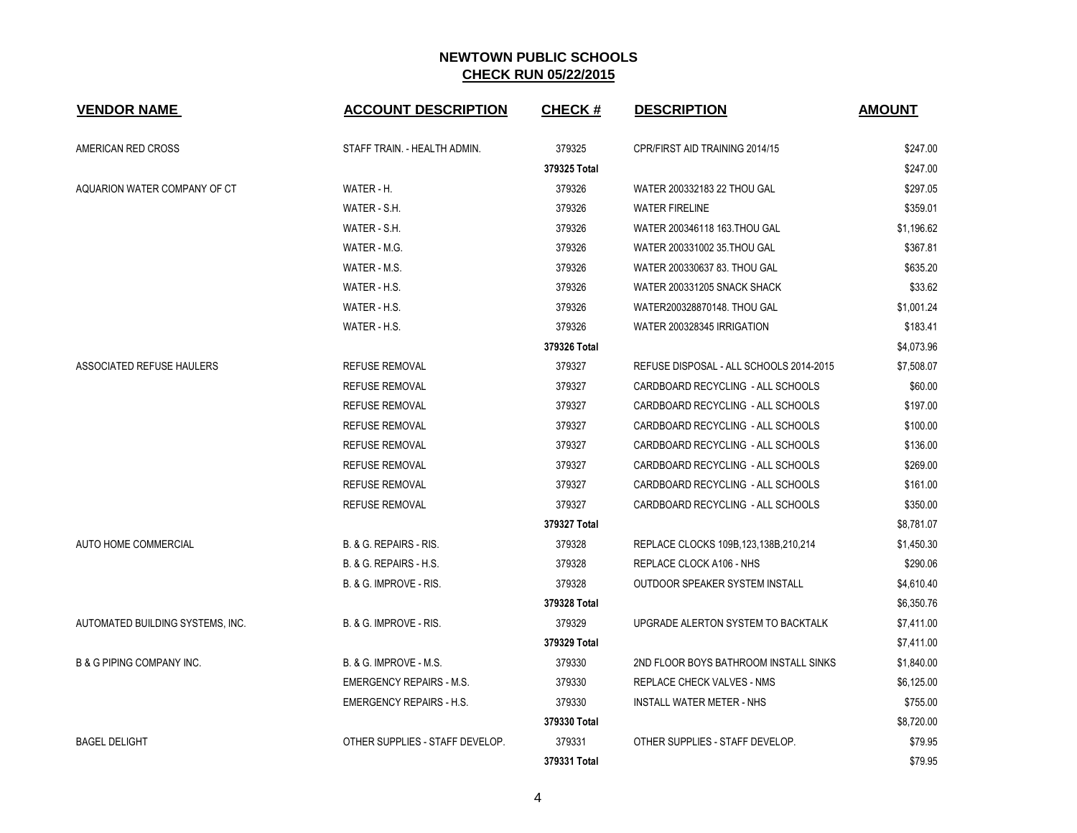| <b>VENDOR NAME</b>                   | <b>ACCOUNT DESCRIPTION</b>      | <b>CHECK#</b> | <b>DESCRIPTION</b>                       | <b>AMOUNT</b> |
|--------------------------------------|---------------------------------|---------------|------------------------------------------|---------------|
| AMERICAN RED CROSS                   | STAFF TRAIN. - HEALTH ADMIN.    | 379325        | CPR/FIRST AID TRAINING 2014/15           | \$247.00      |
|                                      |                                 | 379325 Total  |                                          | \$247.00      |
| AQUARION WATER COMPANY OF CT         | WATER - H.                      | 379326        | WATER 200332183 22 THOU GAL              | \$297.05      |
|                                      | WATER - S.H.                    | 379326        | <b>WATER FIRELINE</b>                    | \$359.01      |
|                                      | WATER - S.H.                    | 379326        | WATER 200346118 163. THOU GAL            | \$1,196.62    |
|                                      | WATER - M.G.                    | 379326        | WATER 200331002 35. THOU GAL             | \$367.81      |
|                                      | WATER - M.S.                    | 379326        | WATER 200330637 83. THOU GAL             | \$635.20      |
|                                      | WATER - H.S.                    | 379326        | WATER 200331205 SNACK SHACK              | \$33.62       |
|                                      | WATER - H.S.                    | 379326        | WATER200328870148. THOU GAL              | \$1,001.24    |
|                                      | WATER - H.S.                    | 379326        | WATER 200328345 IRRIGATION               | \$183.41      |
|                                      |                                 | 379326 Total  |                                          | \$4,073.96    |
| ASSOCIATED REFUSE HAULERS            | <b>REFUSE REMOVAL</b>           | 379327        | REFUSE DISPOSAL - ALL SCHOOLS 2014-2015  | \$7,508.07    |
|                                      | <b>REFUSE REMOVAL</b>           | 379327        | CARDBOARD RECYCLING - ALL SCHOOLS        | \$60.00       |
|                                      | <b>REFUSE REMOVAL</b>           | 379327        | CARDBOARD RECYCLING - ALL SCHOOLS        | \$197.00      |
|                                      | <b>REFUSE REMOVAL</b>           | 379327        | CARDBOARD RECYCLING - ALL SCHOOLS        | \$100.00      |
|                                      | <b>REFUSE REMOVAL</b>           | 379327        | CARDBOARD RECYCLING - ALL SCHOOLS        | \$136.00      |
|                                      | <b>REFUSE REMOVAL</b>           | 379327        | CARDBOARD RECYCLING - ALL SCHOOLS        | \$269.00      |
|                                      | <b>REFUSE REMOVAL</b>           | 379327        | CARDBOARD RECYCLING - ALL SCHOOLS        | \$161.00      |
|                                      | <b>REFUSE REMOVAL</b>           | 379327        | CARDBOARD RECYCLING - ALL SCHOOLS        | \$350.00      |
|                                      |                                 | 379327 Total  |                                          | \$8,781.07    |
| AUTO HOME COMMERCIAL                 | B. & G. REPAIRS - RIS.          | 379328        | REPLACE CLOCKS 109B, 123, 138B, 210, 214 | \$1,450.30    |
|                                      | B. & G. REPAIRS - H.S.          | 379328        | REPLACE CLOCK A106 - NHS                 | \$290.06      |
|                                      | B. & G. IMPROVE - RIS.          | 379328        | OUTDOOR SPEAKER SYSTEM INSTALL           | \$4,610.40    |
|                                      |                                 | 379328 Total  |                                          | \$6,350.76    |
| AUTOMATED BUILDING SYSTEMS, INC.     | B. & G. IMPROVE - RIS.          | 379329        | UPGRADE ALERTON SYSTEM TO BACKTALK       | \$7,411.00    |
|                                      |                                 | 379329 Total  |                                          | \$7,411.00    |
| <b>B &amp; G PIPING COMPANY INC.</b> | B. & G. IMPROVE - M.S.          | 379330        | 2ND FLOOR BOYS BATHROOM INSTALL SINKS    | \$1,840.00    |
|                                      | <b>EMERGENCY REPAIRS - M.S.</b> | 379330        | <b>REPLACE CHECK VALVES - NMS</b>        | \$6,125.00    |
|                                      | <b>EMERGENCY REPAIRS - H.S.</b> | 379330        | <b>INSTALL WATER METER - NHS</b>         | \$755.00      |
|                                      |                                 | 379330 Total  |                                          | \$8,720.00    |
| <b>BAGEL DELIGHT</b>                 | OTHER SUPPLIES - STAFF DEVELOP. | 379331        | OTHER SUPPLIES - STAFF DEVELOP.          | \$79.95       |
|                                      |                                 | 379331 Total  |                                          | \$79.95       |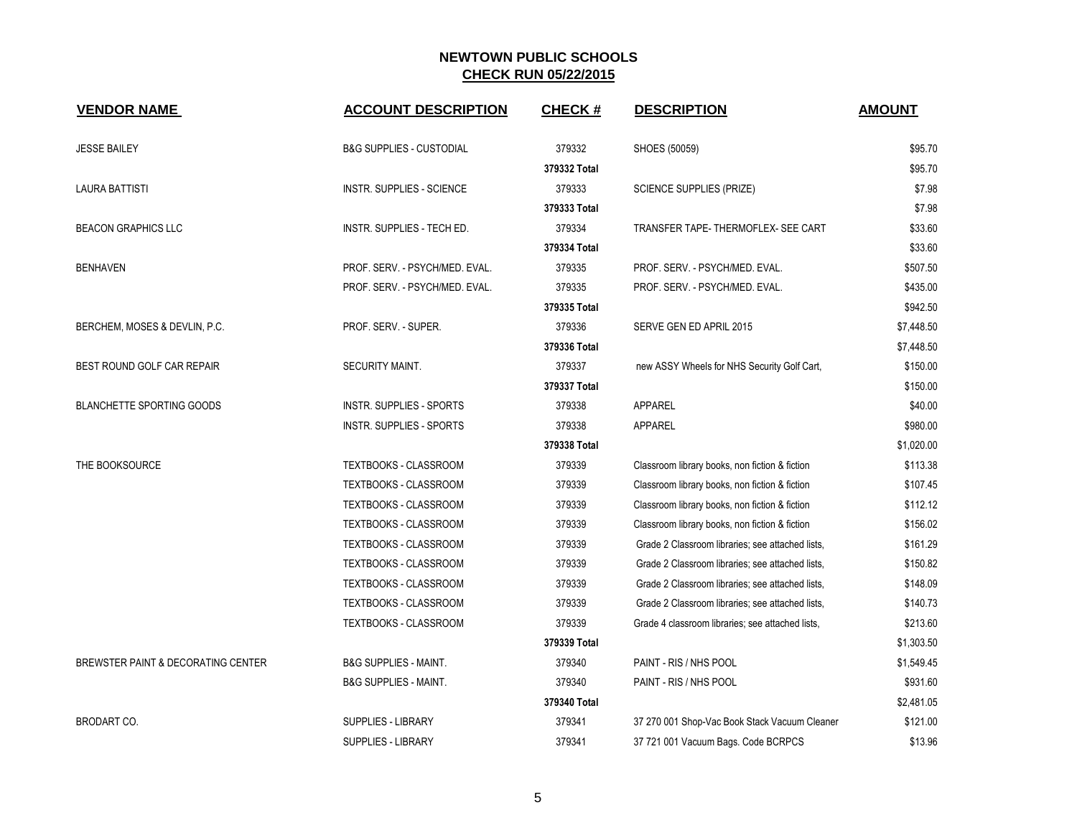| <b>VENDOR NAME</b>                 | <b>ACCOUNT DESCRIPTION</b>          | <b>CHECK#</b> | <b>DESCRIPTION</b>                               | <b>AMOUNT</b> |
|------------------------------------|-------------------------------------|---------------|--------------------------------------------------|---------------|
| <b>JESSE BAILEY</b>                | <b>B&amp;G SUPPLIES - CUSTODIAL</b> | 379332        | SHOES (50059)                                    | \$95.70       |
|                                    |                                     | 379332 Total  |                                                  | \$95.70       |
| <b>LAURA BATTISTI</b>              | <b>INSTR. SUPPLIES - SCIENCE</b>    | 379333        | <b>SCIENCE SUPPLIES (PRIZE)</b>                  | \$7.98        |
|                                    |                                     | 379333 Total  |                                                  | \$7.98        |
| <b>BEACON GRAPHICS LLC</b>         | INSTR. SUPPLIES - TECH ED.          | 379334        | TRANSFER TAPE- THERMOFLEX- SEE CART              | \$33.60       |
|                                    |                                     | 379334 Total  |                                                  | \$33.60       |
| <b>BENHAVEN</b>                    | PROF. SERV. - PSYCH/MED. EVAL.      | 379335        | PROF. SERV. - PSYCH/MED. EVAL.                   | \$507.50      |
|                                    | PROF. SERV. - PSYCH/MED. EVAL.      | 379335        | PROF. SERV. - PSYCH/MED. EVAL.                   | \$435.00      |
|                                    |                                     | 379335 Total  |                                                  | \$942.50      |
| BERCHEM, MOSES & DEVLIN, P.C.      | PROF. SERV. - SUPER.                | 379336        | SERVE GEN ED APRIL 2015                          | \$7,448.50    |
|                                    |                                     | 379336 Total  |                                                  | \$7,448.50    |
| BEST ROUND GOLF CAR REPAIR         | <b>SECURITY MAINT.</b>              | 379337        | new ASSY Wheels for NHS Security Golf Cart,      | \$150.00      |
|                                    |                                     | 379337 Total  |                                                  | \$150.00      |
| <b>BLANCHETTE SPORTING GOODS</b>   | <b>INSTR. SUPPLIES - SPORTS</b>     | 379338        | <b>APPAREL</b>                                   | \$40.00       |
|                                    | <b>INSTR. SUPPLIES - SPORTS</b>     | 379338        | <b>APPAREL</b>                                   | \$980.00      |
|                                    |                                     | 379338 Total  |                                                  | \$1,020.00    |
| THE BOOKSOURCE                     | TEXTBOOKS - CLASSROOM               | 379339        | Classroom library books, non fiction & fiction   | \$113.38      |
|                                    | TEXTBOOKS - CLASSROOM               | 379339        | Classroom library books, non fiction & fiction   | \$107.45      |
|                                    | TEXTBOOKS - CLASSROOM               | 379339        | Classroom library books, non fiction & fiction   | \$112.12      |
|                                    | <b>TEXTBOOKS - CLASSROOM</b>        | 379339        | Classroom library books, non fiction & fiction   | \$156.02      |
|                                    | TEXTBOOKS - CLASSROOM               | 379339        | Grade 2 Classroom libraries; see attached lists, | \$161.29      |
|                                    | <b>TEXTBOOKS - CLASSROOM</b>        | 379339        | Grade 2 Classroom libraries; see attached lists, | \$150.82      |
|                                    | TEXTBOOKS - CLASSROOM               | 379339        | Grade 2 Classroom libraries; see attached lists, | \$148.09      |
|                                    | TEXTBOOKS - CLASSROOM               | 379339        | Grade 2 Classroom libraries; see attached lists, | \$140.73      |
|                                    | TEXTBOOKS - CLASSROOM               | 379339        | Grade 4 classroom libraries; see attached lists, | \$213.60      |
|                                    |                                     | 379339 Total  |                                                  | \$1,303.50    |
| BREWSTER PAINT & DECORATING CENTER | <b>B&amp;G SUPPLIES - MAINT.</b>    | 379340        | PAINT - RIS / NHS POOL                           | \$1,549.45    |
|                                    | <b>B&amp;G SUPPLIES - MAINT.</b>    | 379340        | PAINT - RIS / NHS POOL                           | \$931.60      |
|                                    |                                     | 379340 Total  |                                                  | \$2,481.05    |
| <b>BRODART CO.</b>                 | SUPPLIES - LIBRARY                  | 379341        | 37 270 001 Shop-Vac Book Stack Vacuum Cleaner    | \$121.00      |
|                                    | <b>SUPPLIES - LIBRARY</b>           | 379341        | 37 721 001 Vacuum Bags. Code BCRPCS              | \$13.96       |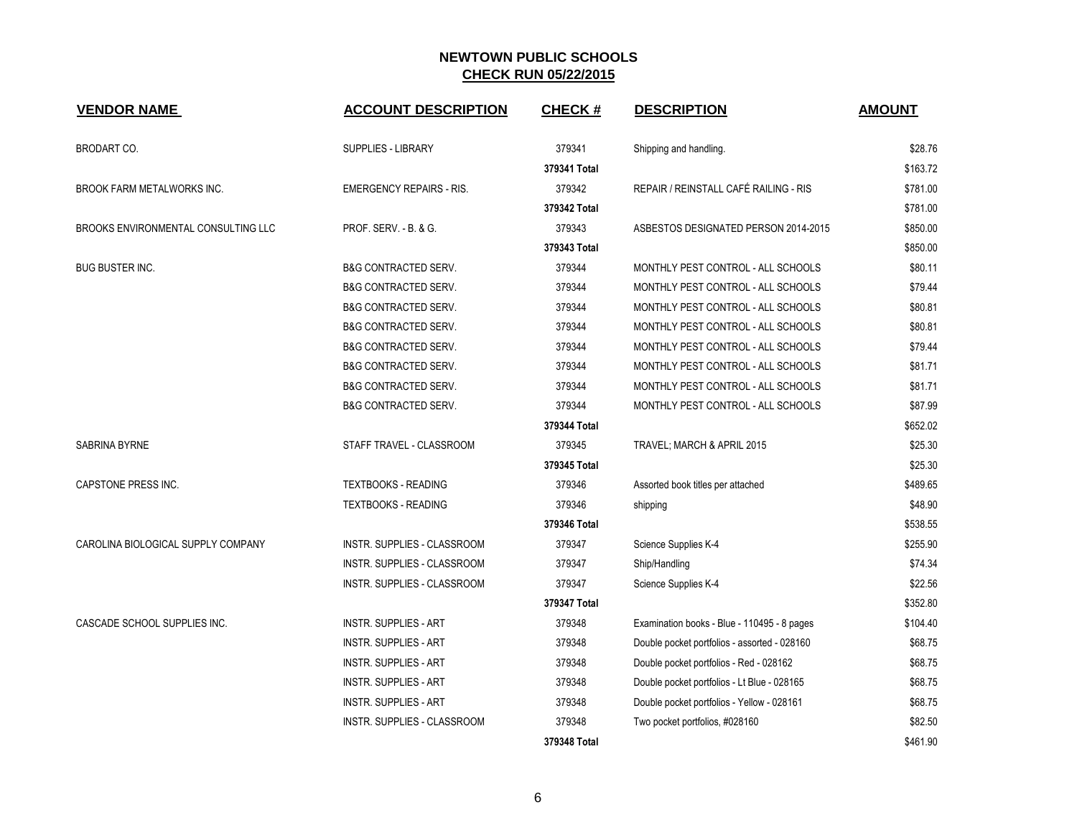| <b>VENDOR NAME</b>                  | <b>ACCOUNT DESCRIPTION</b>         | <b>CHECK#</b> | <b>DESCRIPTION</b>                           | <b>AMOUNT</b> |
|-------------------------------------|------------------------------------|---------------|----------------------------------------------|---------------|
| BRODART CO.                         | <b>SUPPLIES - LIBRARY</b>          | 379341        | Shipping and handling.                       | \$28.76       |
|                                     |                                    | 379341 Total  |                                              | \$163.72      |
| <b>BROOK FARM METALWORKS INC.</b>   | <b>EMERGENCY REPAIRS - RIS.</b>    | 379342        | REPAIR / REINSTALL CAFÉ RAILING - RIS        | \$781.00      |
|                                     |                                    | 379342 Total  |                                              | \$781.00      |
| BROOKS ENVIRONMENTAL CONSULTING LLC | PROF. SERV. - B. & G.              | 379343        | ASBESTOS DESIGNATED PERSON 2014-2015         | \$850.00      |
|                                     |                                    | 379343 Total  |                                              | \$850.00      |
| <b>BUG BUSTER INC.</b>              | <b>B&amp;G CONTRACTED SERV.</b>    | 379344        | MONTHLY PEST CONTROL - ALL SCHOOLS           | \$80.11       |
|                                     | <b>B&amp;G CONTRACTED SERV.</b>    | 379344        | MONTHLY PEST CONTROL - ALL SCHOOLS           | \$79.44       |
|                                     | <b>B&amp;G CONTRACTED SERV.</b>    | 379344        | MONTHLY PEST CONTROL - ALL SCHOOLS           | \$80.81       |
|                                     | <b>B&amp;G CONTRACTED SERV.</b>    | 379344        | MONTHLY PEST CONTROL - ALL SCHOOLS           | \$80.81       |
|                                     | <b>B&amp;G CONTRACTED SERV.</b>    | 379344        | MONTHLY PEST CONTROL - ALL SCHOOLS           | \$79.44       |
|                                     | <b>B&amp;G CONTRACTED SERV.</b>    | 379344        | MONTHLY PEST CONTROL - ALL SCHOOLS           | \$81.71       |
|                                     | <b>B&amp;G CONTRACTED SERV.</b>    | 379344        | MONTHLY PEST CONTROL - ALL SCHOOLS           | \$81.71       |
|                                     | <b>B&amp;G CONTRACTED SERV.</b>    | 379344        | MONTHLY PEST CONTROL - ALL SCHOOLS           | \$87.99       |
|                                     |                                    | 379344 Total  |                                              | \$652.02      |
| <b>SABRINA BYRNE</b>                | STAFF TRAVEL - CLASSROOM           | 379345        | TRAVEL; MARCH & APRIL 2015                   | \$25.30       |
|                                     |                                    | 379345 Total  |                                              | \$25.30       |
| <b>CAPSTONE PRESS INC.</b>          | <b>TEXTBOOKS - READING</b>         | 379346        | Assorted book titles per attached            | \$489.65      |
|                                     | <b>TEXTBOOKS - READING</b>         | 379346        | shipping                                     | \$48.90       |
|                                     |                                    | 379346 Total  |                                              | \$538.55      |
| CAROLINA BIOLOGICAL SUPPLY COMPANY  | INSTR. SUPPLIES - CLASSROOM        | 379347        | Science Supplies K-4                         | \$255.90      |
|                                     | INSTR. SUPPLIES - CLASSROOM        | 379347        | Ship/Handling                                | \$74.34       |
|                                     | INSTR. SUPPLIES - CLASSROOM        | 379347        | Science Supplies K-4                         | \$22.56       |
|                                     |                                    | 379347 Total  |                                              | \$352.80      |
| CASCADE SCHOOL SUPPLIES INC.        | <b>INSTR. SUPPLIES - ART</b>       | 379348        | Examination books - Blue - 110495 - 8 pages  | \$104.40      |
|                                     | <b>INSTR. SUPPLIES - ART</b>       | 379348        | Double pocket portfolios - assorted - 028160 | \$68.75       |
|                                     | <b>INSTR. SUPPLIES - ART</b>       | 379348        | Double pocket portfolios - Red - 028162      | \$68.75       |
|                                     | <b>INSTR. SUPPLIES - ART</b>       | 379348        | Double pocket portfolios - Lt Blue - 028165  | \$68.75       |
|                                     | <b>INSTR. SUPPLIES - ART</b>       | 379348        | Double pocket portfolios - Yellow - 028161   | \$68.75       |
|                                     | <b>INSTR. SUPPLIES - CLASSROOM</b> | 379348        | Two pocket portfolios, #028160               | \$82.50       |
|                                     |                                    | 379348 Total  |                                              | \$461.90      |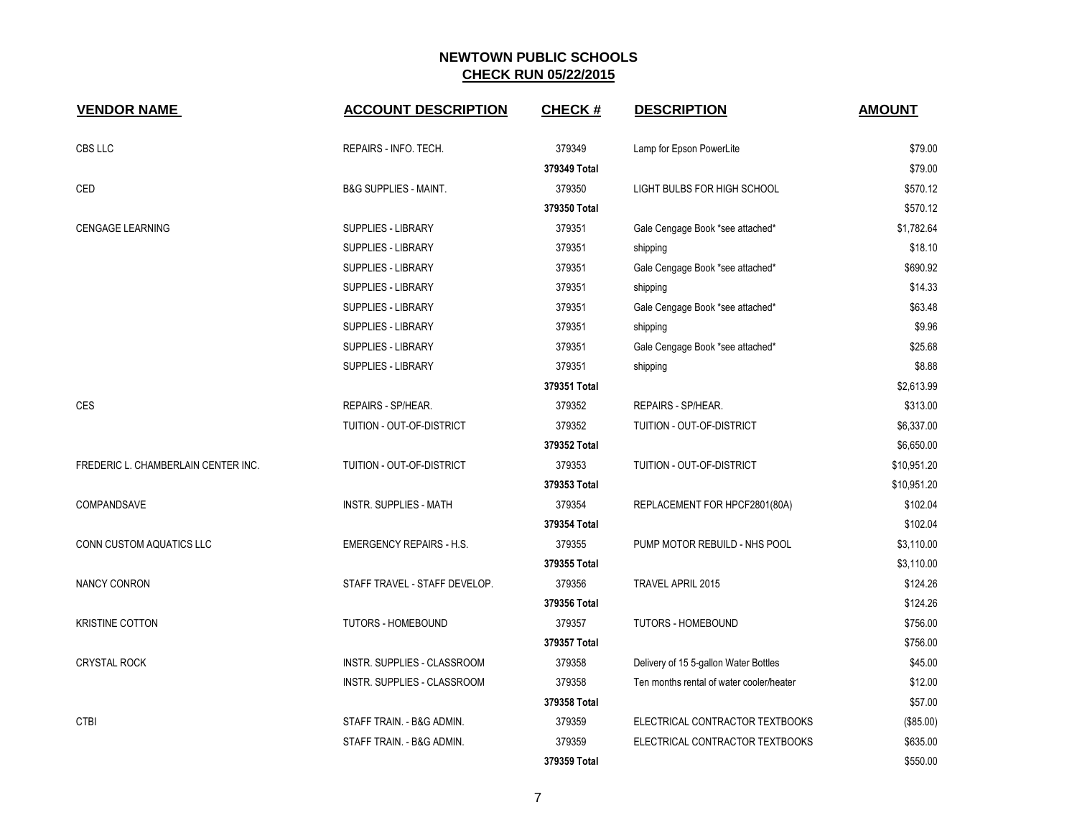| <b>VENDOR NAME</b>                  | <b>ACCOUNT DESCRIPTION</b>       | <b>CHECK#</b> | <b>DESCRIPTION</b>                       | <b>AMOUNT</b> |
|-------------------------------------|----------------------------------|---------------|------------------------------------------|---------------|
| CBS LLC                             | REPAIRS - INFO. TECH.            | 379349        | Lamp for Epson PowerLite                 | \$79.00       |
|                                     |                                  | 379349 Total  |                                          | \$79.00       |
| CED                                 | <b>B&amp;G SUPPLIES - MAINT.</b> | 379350        | LIGHT BULBS FOR HIGH SCHOOL              | \$570.12      |
|                                     |                                  | 379350 Total  |                                          | \$570.12      |
| <b>CENGAGE LEARNING</b>             | SUPPLIES - LIBRARY               | 379351        | Gale Cengage Book *see attached*         | \$1,782.64    |
|                                     | <b>SUPPLIES - LIBRARY</b>        | 379351        | shipping                                 | \$18.10       |
|                                     | SUPPLIES - LIBRARY               | 379351        | Gale Cengage Book *see attached*         | \$690.92      |
|                                     | SUPPLIES - LIBRARY               | 379351        | shipping                                 | \$14.33       |
|                                     | SUPPLIES - LIBRARY               | 379351        | Gale Cengage Book *see attached*         | \$63.48       |
|                                     | SUPPLIES - LIBRARY               | 379351        | shipping                                 | \$9.96        |
|                                     | SUPPLIES - LIBRARY               | 379351        | Gale Cengage Book *see attached*         | \$25.68       |
|                                     | <b>SUPPLIES - LIBRARY</b>        | 379351        | shipping                                 | \$8.88        |
|                                     |                                  | 379351 Total  |                                          | \$2,613.99    |
| <b>CES</b>                          | REPAIRS - SP/HEAR.               | 379352        | REPAIRS - SP/HEAR.                       | \$313.00      |
|                                     | TUITION - OUT-OF-DISTRICT        | 379352        | TUITION - OUT-OF-DISTRICT                | \$6,337.00    |
|                                     |                                  | 379352 Total  |                                          | \$6,650.00    |
| FREDERIC L. CHAMBERLAIN CENTER INC. | TUITION - OUT-OF-DISTRICT        | 379353        | TUITION - OUT-OF-DISTRICT                | \$10,951.20   |
|                                     |                                  | 379353 Total  |                                          | \$10,951.20   |
| COMPANDSAVE                         | <b>INSTR. SUPPLIES - MATH</b>    | 379354        | REPLACEMENT FOR HPCF2801(80A)            | \$102.04      |
|                                     |                                  | 379354 Total  |                                          | \$102.04      |
| CONN CUSTOM AQUATICS LLC            | <b>EMERGENCY REPAIRS - H.S.</b>  | 379355        | PUMP MOTOR REBUILD - NHS POOL            | \$3,110.00    |
|                                     |                                  | 379355 Total  |                                          | \$3,110.00    |
| <b>NANCY CONRON</b>                 | STAFF TRAVEL - STAFF DEVELOP.    | 379356        | <b>TRAVEL APRIL 2015</b>                 | \$124.26      |
|                                     |                                  | 379356 Total  |                                          | \$124.26      |
| <b>KRISTINE COTTON</b>              | <b>TUTORS - HOMEBOUND</b>        | 379357        | <b>TUTORS - HOMEBOUND</b>                | \$756.00      |
|                                     |                                  | 379357 Total  |                                          | \$756.00      |
| <b>CRYSTAL ROCK</b>                 | INSTR. SUPPLIES - CLASSROOM      | 379358        | Delivery of 15 5-gallon Water Bottles    | \$45.00       |
|                                     | INSTR. SUPPLIES - CLASSROOM      | 379358        | Ten months rental of water cooler/heater | \$12.00       |
|                                     |                                  | 379358 Total  |                                          | \$57.00       |
| <b>CTBI</b>                         | STAFF TRAIN. - B&G ADMIN.        | 379359        | ELECTRICAL CONTRACTOR TEXTBOOKS          | (\$85.00)     |
|                                     | STAFF TRAIN. - B&G ADMIN.        | 379359        | ELECTRICAL CONTRACTOR TEXTBOOKS          | \$635.00      |
|                                     |                                  | 379359 Total  |                                          | \$550.00      |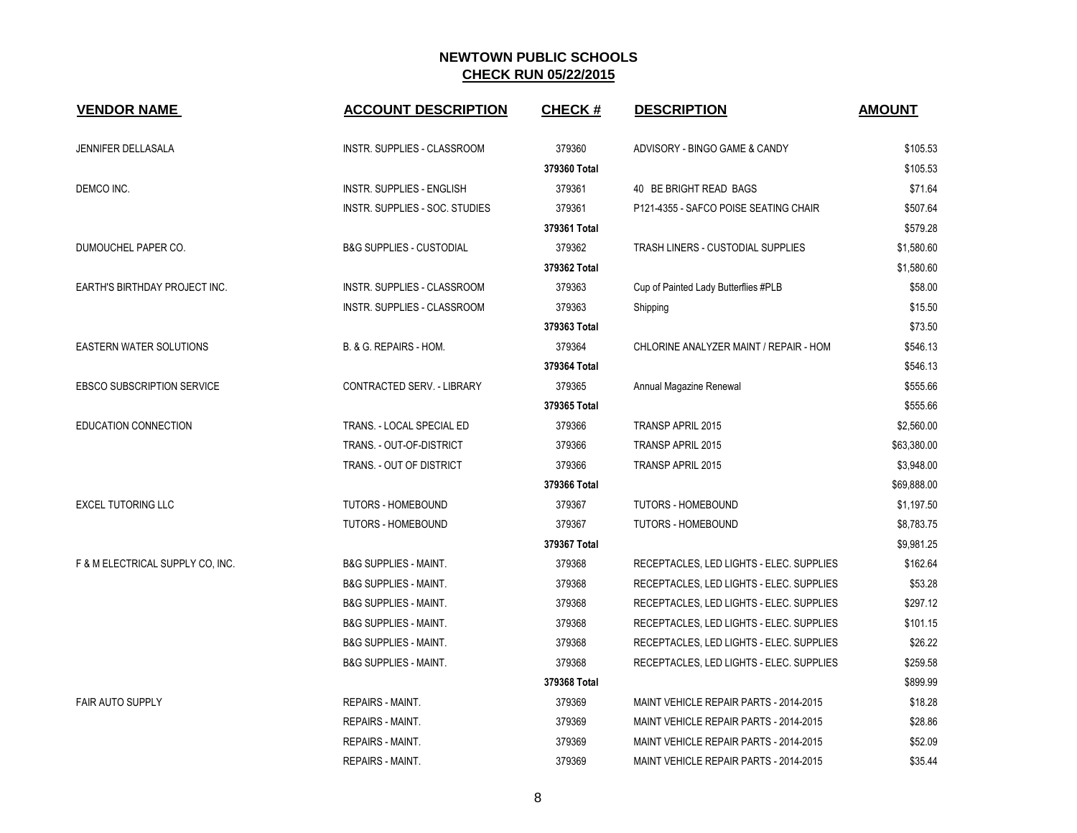| <b>VENDOR NAME</b>                | <b>ACCOUNT DESCRIPTION</b>          | <b>CHECK#</b> | <b>DESCRIPTION</b>                       | <b>AMOUNT</b> |
|-----------------------------------|-------------------------------------|---------------|------------------------------------------|---------------|
| <b>JENNIFER DELLASALA</b>         | INSTR. SUPPLIES - CLASSROOM         | 379360        | ADVISORY - BINGO GAME & CANDY            | \$105.53      |
|                                   |                                     | 379360 Total  |                                          | \$105.53      |
| DEMCO INC.                        | <b>INSTR. SUPPLIES - ENGLISH</b>    | 379361        | 40 BE BRIGHT READ BAGS                   | \$71.64       |
|                                   | INSTR. SUPPLIES - SOC. STUDIES      | 379361        | P121-4355 - SAFCO POISE SEATING CHAIR    | \$507.64      |
|                                   |                                     | 379361 Total  |                                          | \$579.28      |
| DUMOUCHEL PAPER CO.               | <b>B&amp;G SUPPLIES - CUSTODIAL</b> | 379362        | TRASH LINERS - CUSTODIAL SUPPLIES        | \$1,580.60    |
|                                   |                                     | 379362 Total  |                                          | \$1,580.60    |
| EARTH'S BIRTHDAY PROJECT INC.     | INSTR. SUPPLIES - CLASSROOM         | 379363        | Cup of Painted Lady Butterflies #PLB     | \$58.00       |
|                                   | INSTR. SUPPLIES - CLASSROOM         | 379363        | Shipping                                 | \$15.50       |
|                                   |                                     | 379363 Total  |                                          | \$73.50       |
| <b>EASTERN WATER SOLUTIONS</b>    | B. & G. REPAIRS - HOM.              | 379364        | CHLORINE ANALYZER MAINT / REPAIR - HOM   | \$546.13      |
|                                   |                                     | 379364 Total  |                                          | \$546.13      |
| <b>EBSCO SUBSCRIPTION SERVICE</b> | <b>CONTRACTED SERV. - LIBRARY</b>   | 379365        | Annual Magazine Renewal                  | \$555.66      |
|                                   |                                     | 379365 Total  |                                          | \$555.66      |
| EDUCATION CONNECTION              | TRANS. - LOCAL SPECIAL ED           | 379366        | <b>TRANSP APRIL 2015</b>                 | \$2,560.00    |
|                                   | TRANS. - OUT-OF-DISTRICT            | 379366        | TRANSP APRIL 2015                        | \$63,380.00   |
|                                   | TRANS. - OUT OF DISTRICT            | 379366        | TRANSP APRIL 2015                        | \$3,948.00    |
|                                   |                                     | 379366 Total  |                                          | \$69,888.00   |
| <b>EXCEL TUTORING LLC</b>         | <b>TUTORS - HOMEBOUND</b>           | 379367        | <b>TUTORS - HOMEBOUND</b>                | \$1,197.50    |
|                                   | <b>TUTORS - HOMEBOUND</b>           | 379367        | <b>TUTORS - HOMEBOUND</b>                | \$8,783.75    |
|                                   |                                     | 379367 Total  |                                          | \$9,981.25    |
| F & M ELECTRICAL SUPPLY CO, INC.  | <b>B&amp;G SUPPLIES - MAINT.</b>    | 379368        | RECEPTACLES, LED LIGHTS - ELEC. SUPPLIES | \$162.64      |
|                                   | <b>B&amp;G SUPPLIES - MAINT.</b>    | 379368        | RECEPTACLES, LED LIGHTS - ELEC. SUPPLIES | \$53.28       |
|                                   | <b>B&amp;G SUPPLIES - MAINT.</b>    | 379368        | RECEPTACLES, LED LIGHTS - ELEC. SUPPLIES | \$297.12      |
|                                   | <b>B&amp;G SUPPLIES - MAINT.</b>    | 379368        | RECEPTACLES, LED LIGHTS - ELEC. SUPPLIES | \$101.15      |
|                                   | <b>B&amp;G SUPPLIES - MAINT.</b>    | 379368        | RECEPTACLES, LED LIGHTS - ELEC. SUPPLIES | \$26.22       |
|                                   | <b>B&amp;G SUPPLIES - MAINT.</b>    | 379368        | RECEPTACLES, LED LIGHTS - ELEC. SUPPLIES | \$259.58      |
|                                   |                                     | 379368 Total  |                                          | \$899.99      |
| <b>FAIR AUTO SUPPLY</b>           | <b>REPAIRS - MAINT.</b>             | 379369        | MAINT VEHICLE REPAIR PARTS - 2014-2015   | \$18.28       |
|                                   | <b>REPAIRS - MAINT.</b>             | 379369        | MAINT VEHICLE REPAIR PARTS - 2014-2015   | \$28.86       |
|                                   | <b>REPAIRS - MAINT.</b>             | 379369        | MAINT VEHICLE REPAIR PARTS - 2014-2015   | \$52.09       |
|                                   | REPAIRS - MAINT.                    | 379369        | MAINT VEHICLE REPAIR PARTS - 2014-2015   | \$35.44       |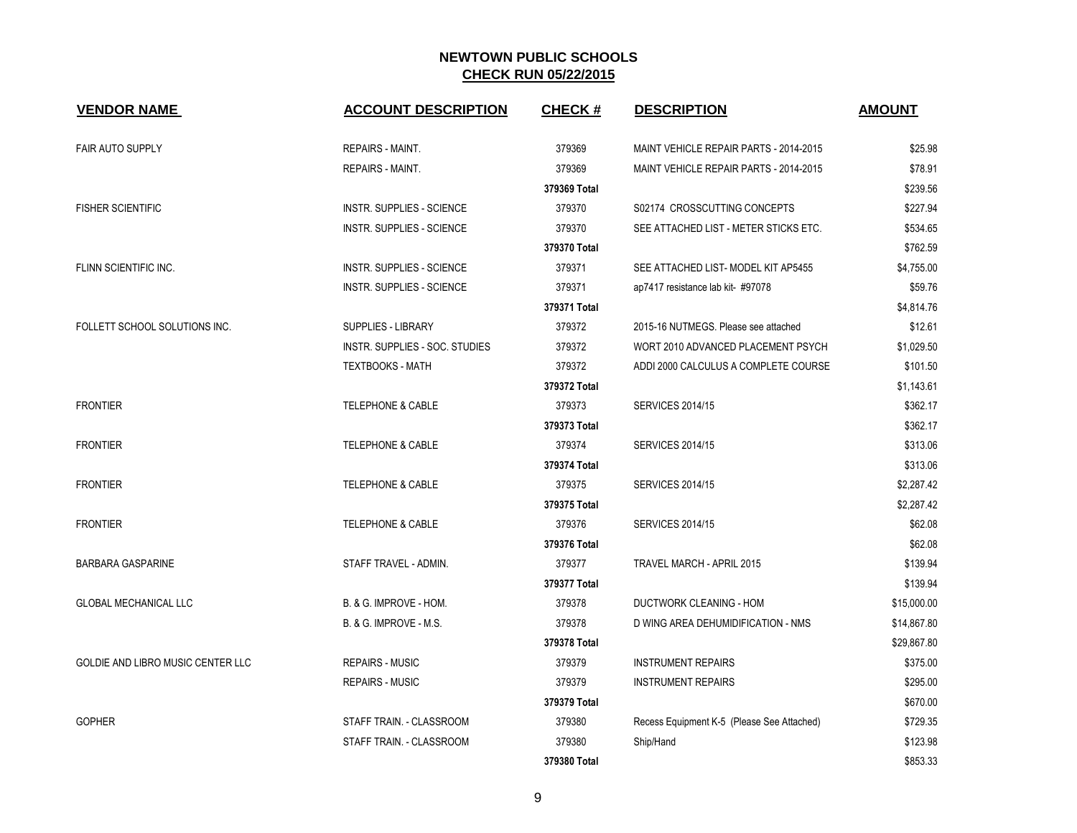| <b>VENDOR NAME</b>                       | <b>ACCOUNT DESCRIPTION</b>       | <b>CHECK#</b> | <b>DESCRIPTION</b>                         | <b>AMOUNT</b> |
|------------------------------------------|----------------------------------|---------------|--------------------------------------------|---------------|
| <b>FAIR AUTO SUPPLY</b>                  | <b>REPAIRS - MAINT.</b>          | 379369        | MAINT VEHICLE REPAIR PARTS - 2014-2015     | \$25.98       |
|                                          | REPAIRS - MAINT.                 | 379369        | MAINT VEHICLE REPAIR PARTS - 2014-2015     | \$78.91       |
|                                          |                                  | 379369 Total  |                                            | \$239.56      |
| <b>FISHER SCIENTIFIC</b>                 | <b>INSTR. SUPPLIES - SCIENCE</b> | 379370        | S02174 CROSSCUTTING CONCEPTS               | \$227.94      |
|                                          | <b>INSTR. SUPPLIES - SCIENCE</b> | 379370        | SEE ATTACHED LIST - METER STICKS ETC.      | \$534.65      |
|                                          |                                  | 379370 Total  |                                            | \$762.59      |
| FLINN SCIENTIFIC INC.                    | <b>INSTR. SUPPLIES - SCIENCE</b> | 379371        | SEE ATTACHED LIST- MODEL KIT AP5455        | \$4,755.00    |
|                                          | <b>INSTR. SUPPLIES - SCIENCE</b> | 379371        | ap7417 resistance lab kit-#97078           | \$59.76       |
|                                          |                                  | 379371 Total  |                                            | \$4,814.76    |
| FOLLETT SCHOOL SOLUTIONS INC.            | <b>SUPPLIES - LIBRARY</b>        | 379372        | 2015-16 NUTMEGS. Please see attached       | \$12.61       |
|                                          | INSTR. SUPPLIES - SOC. STUDIES   | 379372        | WORT 2010 ADVANCED PLACEMENT PSYCH         | \$1,029.50    |
|                                          | <b>TEXTBOOKS - MATH</b>          | 379372        | ADDI 2000 CALCULUS A COMPLETE COURSE       | \$101.50      |
|                                          |                                  | 379372 Total  |                                            | \$1,143.61    |
| <b>FRONTIER</b>                          | <b>TELEPHONE &amp; CABLE</b>     | 379373        | <b>SERVICES 2014/15</b>                    | \$362.17      |
|                                          |                                  | 379373 Total  |                                            | \$362.17      |
| <b>FRONTIER</b>                          | <b>TELEPHONE &amp; CABLE</b>     | 379374        | <b>SERVICES 2014/15</b>                    | \$313.06      |
|                                          |                                  | 379374 Total  |                                            | \$313.06      |
| <b>FRONTIER</b>                          | <b>TELEPHONE &amp; CABLE</b>     | 379375        | <b>SERVICES 2014/15</b>                    | \$2,287.42    |
|                                          |                                  | 379375 Total  |                                            | \$2,287.42    |
| <b>FRONTIER</b>                          | <b>TELEPHONE &amp; CABLE</b>     | 379376        | <b>SERVICES 2014/15</b>                    | \$62.08       |
|                                          |                                  | 379376 Total  |                                            | \$62.08       |
| <b>BARBARA GASPARINE</b>                 | STAFF TRAVEL - ADMIN.            | 379377        | TRAVEL MARCH - APRIL 2015                  | \$139.94      |
|                                          |                                  | 379377 Total  |                                            | \$139.94      |
| <b>GLOBAL MECHANICAL LLC</b>             | B. & G. IMPROVE - HOM.           | 379378        | DUCTWORK CLEANING - HOM                    | \$15,000.00   |
|                                          | B. & G. IMPROVE - M.S.           | 379378        | D WING AREA DEHUMIDIFICATION - NMS         | \$14,867.80   |
|                                          |                                  | 379378 Total  |                                            | \$29,867.80   |
| <b>GOLDIE AND LIBRO MUSIC CENTER LLC</b> | <b>REPAIRS - MUSIC</b>           | 379379        | <b>INSTRUMENT REPAIRS</b>                  | \$375.00      |
|                                          | <b>REPAIRS - MUSIC</b>           | 379379        | <b>INSTRUMENT REPAIRS</b>                  | \$295.00      |
|                                          |                                  | 379379 Total  |                                            | \$670.00      |
| <b>GOPHER</b>                            | STAFF TRAIN. - CLASSROOM         | 379380        | Recess Equipment K-5 (Please See Attached) | \$729.35      |
|                                          | STAFF TRAIN. - CLASSROOM         | 379380        | Ship/Hand                                  | \$123.98      |
|                                          |                                  | 379380 Total  |                                            | \$853.33      |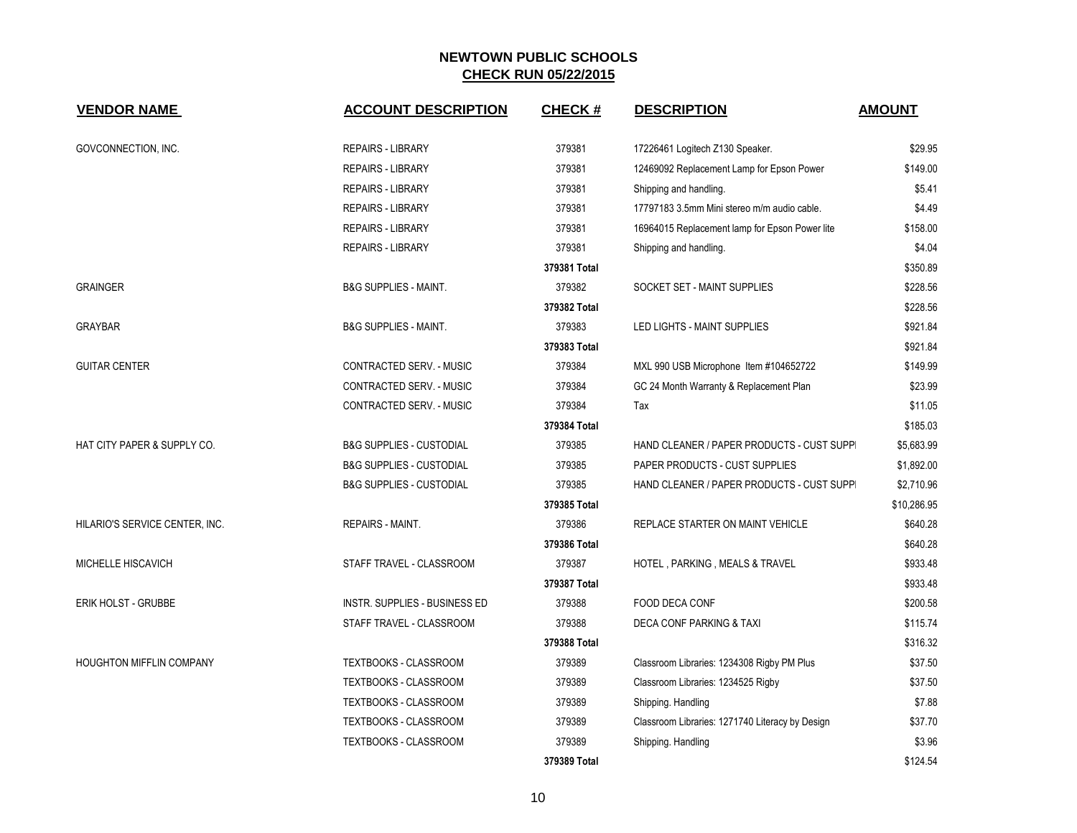| <b>VENDOR NAME</b>              | <b>ACCOUNT DESCRIPTION</b>          | <b>CHECK#</b> | <b>DESCRIPTION</b>                              | <b>AMOUNT</b> |
|---------------------------------|-------------------------------------|---------------|-------------------------------------------------|---------------|
| GOVCONNECTION, INC.             | <b>REPAIRS - LIBRARY</b>            | 379381        | 17226461 Logitech Z130 Speaker.                 | \$29.95       |
|                                 | <b>REPAIRS - LIBRARY</b>            | 379381        | 12469092 Replacement Lamp for Epson Power       | \$149.00      |
|                                 | <b>REPAIRS - LIBRARY</b>            | 379381        | Shipping and handling.                          | \$5.41        |
|                                 | <b>REPAIRS - LIBRARY</b>            | 379381        | 17797183 3.5mm Mini stereo m/m audio cable.     | \$4.49        |
|                                 | <b>REPAIRS - LIBRARY</b>            | 379381        | 16964015 Replacement lamp for Epson Power lite  | \$158.00      |
|                                 | <b>REPAIRS - LIBRARY</b>            | 379381        | Shipping and handling.                          | \$4.04        |
|                                 |                                     | 379381 Total  |                                                 | \$350.89      |
| <b>GRAINGER</b>                 | <b>B&amp;G SUPPLIES - MAINT.</b>    | 379382        | SOCKET SET - MAINT SUPPLIES                     | \$228.56      |
|                                 |                                     | 379382 Total  |                                                 | \$228.56      |
| <b>GRAYBAR</b>                  | <b>B&amp;G SUPPLIES - MAINT.</b>    | 379383        | LED LIGHTS - MAINT SUPPLIES                     | \$921.84      |
|                                 |                                     | 379383 Total  |                                                 | \$921.84      |
| <b>GUITAR CENTER</b>            | CONTRACTED SERV. - MUSIC            | 379384        | MXL 990 USB Microphone Item #104652722          | \$149.99      |
|                                 | CONTRACTED SERV. - MUSIC            | 379384        | GC 24 Month Warranty & Replacement Plan         | \$23.99       |
|                                 | CONTRACTED SERV. - MUSIC            | 379384        | Tax                                             | \$11.05       |
|                                 |                                     | 379384 Total  |                                                 | \$185.03      |
| HAT CITY PAPER & SUPPLY CO.     | <b>B&amp;G SUPPLIES - CUSTODIAL</b> | 379385        | HAND CLEANER / PAPER PRODUCTS - CUST SUPPI      | \$5,683.99    |
|                                 | <b>B&amp;G SUPPLIES - CUSTODIAL</b> | 379385        | PAPER PRODUCTS - CUST SUPPLIES                  | \$1,892.00    |
|                                 | <b>B&amp;G SUPPLIES - CUSTODIAL</b> | 379385        | HAND CLEANER / PAPER PRODUCTS - CUST SUPPI      | \$2,710.96    |
|                                 |                                     | 379385 Total  |                                                 | \$10,286.95   |
| HILARIO'S SERVICE CENTER, INC.  | <b>REPAIRS - MAINT.</b>             | 379386        | REPLACE STARTER ON MAINT VEHICLE                | \$640.28      |
|                                 |                                     | 379386 Total  |                                                 | \$640.28      |
| MICHELLE HISCAVICH              | STAFF TRAVEL - CLASSROOM            | 379387        | HOTEL, PARKING, MEALS & TRAVEL                  | \$933.48      |
|                                 |                                     | 379387 Total  |                                                 | \$933.48      |
| <b>ERIK HOLST - GRUBBE</b>      | INSTR. SUPPLIES - BUSINESS ED       | 379388        | FOOD DECA CONF                                  | \$200.58      |
|                                 | STAFF TRAVEL - CLASSROOM            | 379388        | <b>DECA CONF PARKING &amp; TAXI</b>             | \$115.74      |
|                                 |                                     | 379388 Total  |                                                 | \$316.32      |
| <b>HOUGHTON MIFFLIN COMPANY</b> | TEXTBOOKS - CLASSROOM               | 379389        | Classroom Libraries: 1234308 Rigby PM Plus      | \$37.50       |
|                                 | TEXTBOOKS - CLASSROOM               | 379389        | Classroom Libraries: 1234525 Rigby              | \$37.50       |
|                                 | TEXTBOOKS - CLASSROOM               | 379389        | Shipping. Handling                              | \$7.88        |
|                                 | TEXTBOOKS - CLASSROOM               | 379389        | Classroom Libraries: 1271740 Literacy by Design | \$37.70       |
|                                 | <b>TEXTBOOKS - CLASSROOM</b>        | 379389        | Shipping. Handling                              | \$3.96        |
|                                 |                                     | 379389 Total  |                                                 | \$124.54      |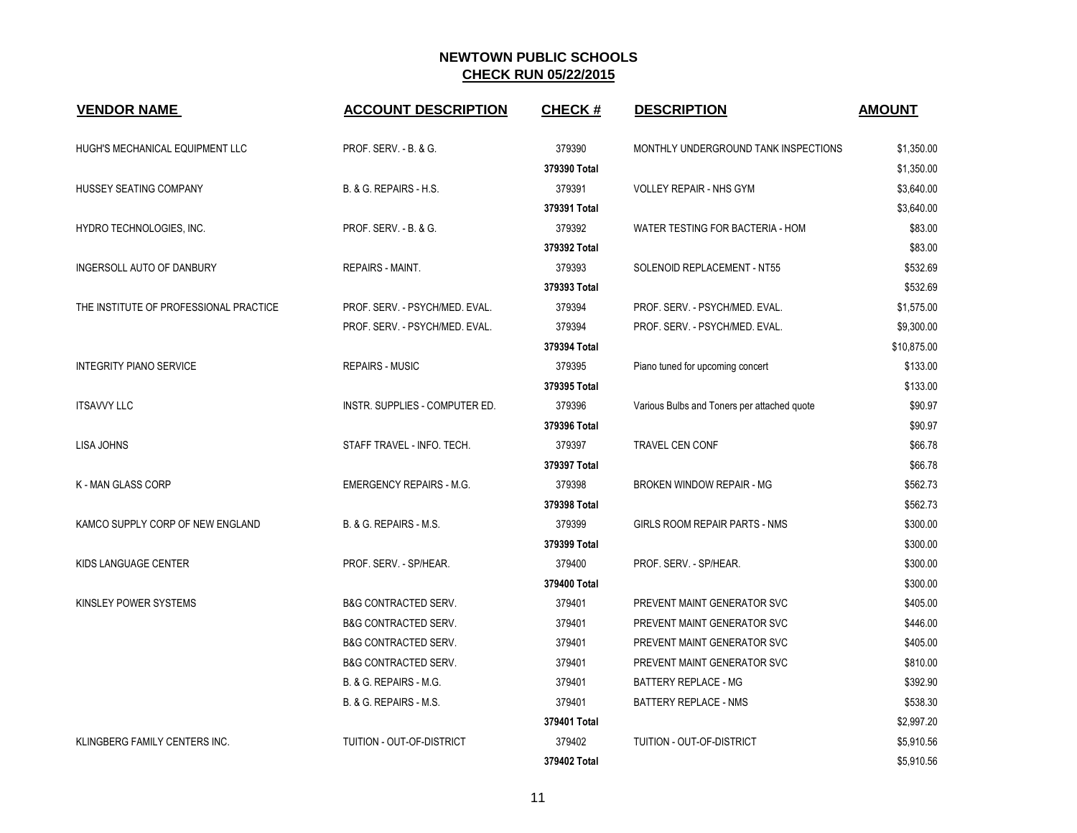| <b>VENDOR NAME</b>                     | <b>ACCOUNT DESCRIPTION</b>      | <b>CHECK#</b> | <b>DESCRIPTION</b>                          | <b>AMOUNT</b> |
|----------------------------------------|---------------------------------|---------------|---------------------------------------------|---------------|
| HUGH'S MECHANICAL EQUIPMENT LLC        | PROF. SERV. - B. & G.           | 379390        | MONTHLY UNDERGROUND TANK INSPECTIONS        | \$1,350.00    |
|                                        |                                 | 379390 Total  |                                             | \$1,350.00    |
| HUSSEY SEATING COMPANY                 | B. & G. REPAIRS - H.S.          | 379391        | <b>VOLLEY REPAIR - NHS GYM</b>              | \$3,640.00    |
|                                        |                                 | 379391 Total  |                                             | \$3,640.00    |
| HYDRO TECHNOLOGIES, INC.               | PROF. SERV. - B. & G.           | 379392        | WATER TESTING FOR BACTERIA - HOM            | \$83.00       |
|                                        |                                 | 379392 Total  |                                             | \$83.00       |
| INGERSOLL AUTO OF DANBURY              | <b>REPAIRS - MAINT.</b>         | 379393        | SOLENOID REPLACEMENT - NT55                 | \$532.69      |
|                                        |                                 | 379393 Total  |                                             | \$532.69      |
| THE INSTITUTE OF PROFESSIONAL PRACTICE | PROF. SERV. - PSYCH/MED. EVAL.  | 379394        | PROF. SERV. - PSYCH/MED. EVAL.              | \$1,575.00    |
|                                        | PROF. SERV. - PSYCH/MED. EVAL.  | 379394        | PROF. SERV. - PSYCH/MED. EVAL.              | \$9,300.00    |
|                                        |                                 | 379394 Total  |                                             | \$10,875.00   |
| <b>INTEGRITY PIANO SERVICE</b>         | <b>REPAIRS - MUSIC</b>          | 379395        | Piano tuned for upcoming concert            | \$133.00      |
|                                        |                                 | 379395 Total  |                                             | \$133.00      |
| <b>ITSAVVY LLC</b>                     | INSTR. SUPPLIES - COMPUTER ED.  | 379396        | Various Bulbs and Toners per attached quote | \$90.97       |
|                                        |                                 | 379396 Total  |                                             | \$90.97       |
| LISA JOHNS                             | STAFF TRAVEL - INFO. TECH.      | 379397        | <b>TRAVEL CEN CONF</b>                      | \$66.78       |
|                                        |                                 | 379397 Total  |                                             | \$66.78       |
| K - MAN GLASS CORP                     | <b>EMERGENCY REPAIRS - M.G.</b> | 379398        | <b>BROKEN WINDOW REPAIR - MG</b>            | \$562.73      |
|                                        |                                 | 379398 Total  |                                             | \$562.73      |
| KAMCO SUPPLY CORP OF NEW ENGLAND       | B. & G. REPAIRS - M.S.          | 379399        | <b>GIRLS ROOM REPAIR PARTS - NMS</b>        | \$300.00      |
|                                        |                                 | 379399 Total  |                                             | \$300.00      |
| KIDS LANGUAGE CENTER                   | PROF. SERV. - SP/HEAR.          | 379400        | PROF. SERV. - SP/HEAR.                      | \$300.00      |
|                                        |                                 | 379400 Total  |                                             | \$300.00      |
| KINSLEY POWER SYSTEMS                  | <b>B&amp;G CONTRACTED SERV.</b> | 379401        | PREVENT MAINT GENERATOR SVC                 | \$405.00      |
|                                        | <b>B&amp;G CONTRACTED SERV.</b> | 379401        | PREVENT MAINT GENERATOR SVC                 | \$446.00      |
|                                        | <b>B&amp;G CONTRACTED SERV.</b> | 379401        | PREVENT MAINT GENERATOR SVC                 | \$405.00      |
|                                        | <b>B&amp;G CONTRACTED SERV.</b> | 379401        | PREVENT MAINT GENERATOR SVC                 | \$810.00      |
|                                        | B. & G. REPAIRS - M.G.          | 379401        | BATTERY REPLACE - MG                        | \$392.90      |
|                                        | B. & G. REPAIRS - M.S.          | 379401        | BATTERY REPLACE - NMS                       | \$538.30      |
|                                        |                                 | 379401 Total  |                                             | \$2,997.20    |
| KLINGBERG FAMILY CENTERS INC.          | TUITION - OUT-OF-DISTRICT       | 379402        | TUITION - OUT-OF-DISTRICT                   | \$5,910.56    |
|                                        |                                 | 379402 Total  |                                             | \$5,910.56    |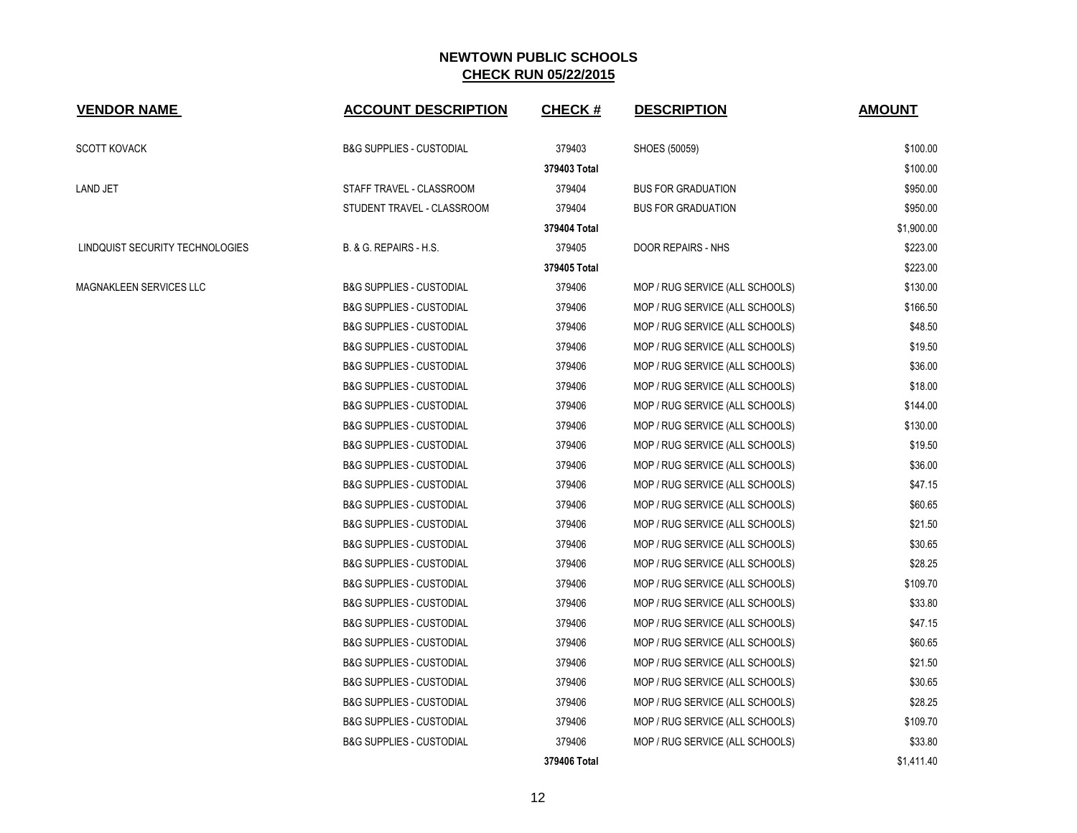| <b>VENDOR NAME</b>              | <b>ACCOUNT DESCRIPTION</b>          | <b>CHECK#</b> | <b>DESCRIPTION</b>              | <b>AMOUNT</b> |
|---------------------------------|-------------------------------------|---------------|---------------------------------|---------------|
| <b>SCOTT KOVACK</b>             | <b>B&amp;G SUPPLIES - CUSTODIAL</b> | 379403        | SHOES (50059)                   | \$100.00      |
|                                 |                                     | 379403 Total  |                                 | \$100.00      |
| <b>LAND JET</b>                 | STAFF TRAVEL - CLASSROOM            | 379404        | <b>BUS FOR GRADUATION</b>       | \$950.00      |
|                                 | STUDENT TRAVEL - CLASSROOM          | 379404        | <b>BUS FOR GRADUATION</b>       | \$950.00      |
|                                 |                                     | 379404 Total  |                                 | \$1,900.00    |
| LINDQUIST SECURITY TECHNOLOGIES | B. & G. REPAIRS - H.S.              | 379405        | DOOR REPAIRS - NHS              | \$223.00      |
|                                 |                                     | 379405 Total  |                                 | \$223.00      |
| MAGNAKLEEN SERVICES LLC         | <b>B&amp;G SUPPLIES - CUSTODIAL</b> | 379406        | MOP / RUG SERVICE (ALL SCHOOLS) | \$130.00      |
|                                 | <b>B&amp;G SUPPLIES - CUSTODIAL</b> | 379406        | MOP / RUG SERVICE (ALL SCHOOLS) | \$166.50      |
|                                 | <b>B&amp;G SUPPLIES - CUSTODIAL</b> | 379406        | MOP / RUG SERVICE (ALL SCHOOLS) | \$48.50       |
|                                 | <b>B&amp;G SUPPLIES - CUSTODIAL</b> | 379406        | MOP / RUG SERVICE (ALL SCHOOLS) | \$19.50       |
|                                 | <b>B&amp;G SUPPLIES - CUSTODIAL</b> | 379406        | MOP / RUG SERVICE (ALL SCHOOLS) | \$36.00       |
|                                 | <b>B&amp;G SUPPLIES - CUSTODIAL</b> | 379406        | MOP / RUG SERVICE (ALL SCHOOLS) | \$18.00       |
|                                 | <b>B&amp;G SUPPLIES - CUSTODIAL</b> | 379406        | MOP / RUG SERVICE (ALL SCHOOLS) | \$144.00      |
|                                 | <b>B&amp;G SUPPLIES - CUSTODIAL</b> | 379406        | MOP / RUG SERVICE (ALL SCHOOLS) | \$130.00      |
|                                 | <b>B&amp;G SUPPLIES - CUSTODIAL</b> | 379406        | MOP / RUG SERVICE (ALL SCHOOLS) | \$19.50       |
|                                 | <b>B&amp;G SUPPLIES - CUSTODIAL</b> | 379406        | MOP / RUG SERVICE (ALL SCHOOLS) | \$36.00       |
|                                 | <b>B&amp;G SUPPLIES - CUSTODIAL</b> | 379406        | MOP / RUG SERVICE (ALL SCHOOLS) | \$47.15       |
|                                 | <b>B&amp;G SUPPLIES - CUSTODIAL</b> | 379406        | MOP / RUG SERVICE (ALL SCHOOLS) | \$60.65       |
|                                 | <b>B&amp;G SUPPLIES - CUSTODIAL</b> | 379406        | MOP / RUG SERVICE (ALL SCHOOLS) | \$21.50       |
|                                 | <b>B&amp;G SUPPLIES - CUSTODIAL</b> | 379406        | MOP / RUG SERVICE (ALL SCHOOLS) | \$30.65       |
|                                 | <b>B&amp;G SUPPLIES - CUSTODIAL</b> | 379406        | MOP / RUG SERVICE (ALL SCHOOLS) | \$28.25       |
|                                 | <b>B&amp;G SUPPLIES - CUSTODIAL</b> | 379406        | MOP / RUG SERVICE (ALL SCHOOLS) | \$109.70      |
|                                 | <b>B&amp;G SUPPLIES - CUSTODIAL</b> | 379406        | MOP / RUG SERVICE (ALL SCHOOLS) | \$33.80       |
|                                 | <b>B&amp;G SUPPLIES - CUSTODIAL</b> | 379406        | MOP / RUG SERVICE (ALL SCHOOLS) | \$47.15       |
|                                 | <b>B&amp;G SUPPLIES - CUSTODIAL</b> | 379406        | MOP / RUG SERVICE (ALL SCHOOLS) | \$60.65       |
|                                 | <b>B&amp;G SUPPLIES - CUSTODIAL</b> | 379406        | MOP / RUG SERVICE (ALL SCHOOLS) | \$21.50       |
|                                 | <b>B&amp;G SUPPLIES - CUSTODIAL</b> | 379406        | MOP / RUG SERVICE (ALL SCHOOLS) | \$30.65       |
|                                 | <b>B&amp;G SUPPLIES - CUSTODIAL</b> | 379406        | MOP / RUG SERVICE (ALL SCHOOLS) | \$28.25       |
|                                 | <b>B&amp;G SUPPLIES - CUSTODIAL</b> | 379406        | MOP / RUG SERVICE (ALL SCHOOLS) | \$109.70      |
|                                 | <b>B&amp;G SUPPLIES - CUSTODIAL</b> | 379406        | MOP / RUG SERVICE (ALL SCHOOLS) | \$33.80       |
|                                 |                                     | 379406 Total  |                                 | \$1,411.40    |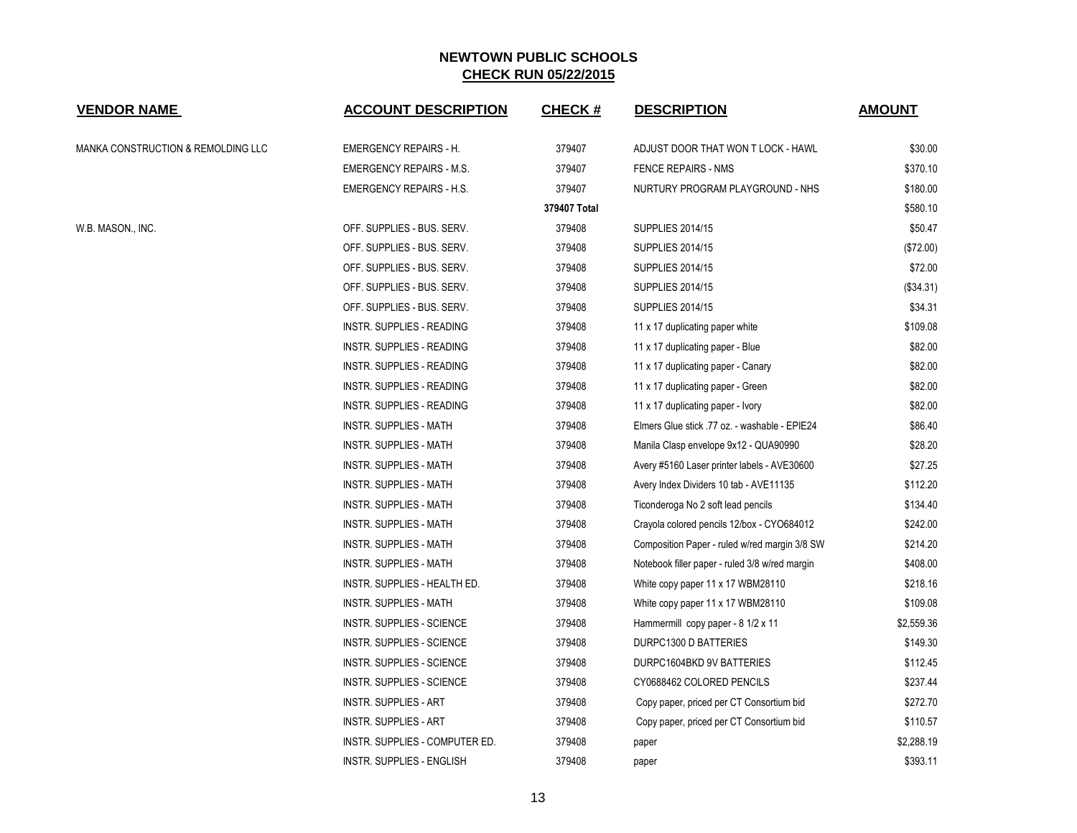| <b>VENDOR NAME</b>                 | <b>ACCOUNT DESCRIPTION</b>       | <b>CHECK#</b> | <b>DESCRIPTION</b>                             | <b>AMOUNT</b> |
|------------------------------------|----------------------------------|---------------|------------------------------------------------|---------------|
| MANKA CONSTRUCTION & REMOLDING LLC | <b>EMERGENCY REPAIRS - H.</b>    | 379407        | ADJUST DOOR THAT WON T LOCK - HAWL             | \$30.00       |
|                                    | <b>EMERGENCY REPAIRS - M.S.</b>  | 379407        | <b>FENCE REPAIRS - NMS</b>                     | \$370.10      |
|                                    | <b>EMERGENCY REPAIRS - H.S.</b>  | 379407        | NURTURY PROGRAM PLAYGROUND - NHS               | \$180.00      |
|                                    |                                  | 379407 Total  |                                                | \$580.10      |
| W.B. MASON., INC.                  | OFF. SUPPLIES - BUS. SERV.       | 379408        | <b>SUPPLIES 2014/15</b>                        | \$50.47       |
|                                    | OFF. SUPPLIES - BUS. SERV.       | 379408        | <b>SUPPLIES 2014/15</b>                        | (\$72.00)     |
|                                    | OFF. SUPPLIES - BUS. SERV.       | 379408        | <b>SUPPLIES 2014/15</b>                        | \$72.00       |
|                                    | OFF. SUPPLIES - BUS. SERV.       | 379408        | <b>SUPPLIES 2014/15</b>                        | (\$34.31)     |
|                                    | OFF. SUPPLIES - BUS. SERV.       | 379408        | <b>SUPPLIES 2014/15</b>                        | \$34.31       |
|                                    | INSTR. SUPPLIES - READING        | 379408        | 11 x 17 duplicating paper white                | \$109.08      |
|                                    | INSTR. SUPPLIES - READING        | 379408        | 11 x 17 duplicating paper - Blue               | \$82.00       |
|                                    | INSTR. SUPPLIES - READING        | 379408        | 11 x 17 duplicating paper - Canary             | \$82.00       |
|                                    | INSTR. SUPPLIES - READING        | 379408        | 11 x 17 duplicating paper - Green              | \$82.00       |
|                                    | INSTR. SUPPLIES - READING        | 379408        | 11 x 17 duplicating paper - Ivory              | \$82.00       |
|                                    | <b>INSTR. SUPPLIES - MATH</b>    | 379408        | Elmers Glue stick .77 oz. - washable - EPIE24  | \$86.40       |
|                                    | <b>INSTR. SUPPLIES - MATH</b>    | 379408        | Manila Clasp envelope 9x12 - QUA90990          | \$28.20       |
|                                    | INSTR. SUPPLIES - MATH           | 379408        | Avery #5160 Laser printer labels - AVE30600    | \$27.25       |
|                                    | INSTR. SUPPLIES - MATH           | 379408        | Avery Index Dividers 10 tab - AVE11135         | \$112.20      |
|                                    | <b>INSTR. SUPPLIES - MATH</b>    | 379408        | Ticonderoga No 2 soft lead pencils             | \$134.40      |
|                                    | <b>INSTR. SUPPLIES - MATH</b>    | 379408        | Crayola colored pencils 12/box - CYO684012     | \$242.00      |
|                                    | <b>INSTR. SUPPLIES - MATH</b>    | 379408        | Composition Paper - ruled w/red margin 3/8 SW  | \$214.20      |
|                                    | <b>INSTR. SUPPLIES - MATH</b>    | 379408        | Notebook filler paper - ruled 3/8 w/red margin | \$408.00      |
|                                    | INSTR. SUPPLIES - HEALTH ED.     | 379408        | White copy paper 11 x 17 WBM28110              | \$218.16      |
|                                    | <b>INSTR. SUPPLIES - MATH</b>    | 379408        | White copy paper 11 x 17 WBM28110              | \$109.08      |
|                                    | <b>INSTR. SUPPLIES - SCIENCE</b> | 379408        | Hammermill copy paper - 8 1/2 x 11             | \$2,559.36    |
|                                    | <b>INSTR. SUPPLIES - SCIENCE</b> | 379408        | DURPC1300 D BATTERIES                          | \$149.30      |
|                                    | INSTR. SUPPLIES - SCIENCE        | 379408        | DURPC1604BKD 9V BATTERIES                      | \$112.45      |
|                                    | <b>INSTR. SUPPLIES - SCIENCE</b> | 379408        | CY0688462 COLORED PENCILS                      | \$237.44      |
|                                    | <b>INSTR. SUPPLIES - ART</b>     | 379408        | Copy paper, priced per CT Consortium bid       | \$272.70      |
|                                    | INSTR. SUPPLIES - ART            | 379408        | Copy paper, priced per CT Consortium bid       | \$110.57      |
|                                    | INSTR. SUPPLIES - COMPUTER ED.   | 379408        | paper                                          | \$2,288.19    |
|                                    | INSTR. SUPPLIES - ENGLISH        | 379408        | paper                                          | \$393.11      |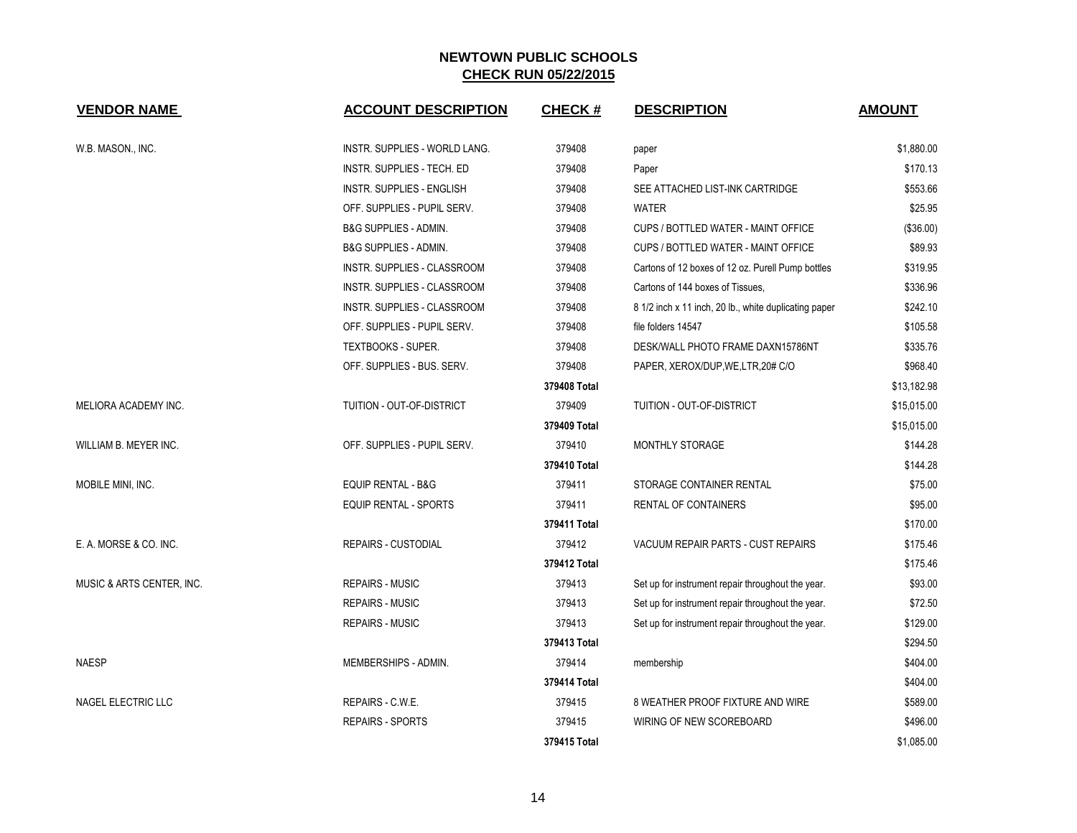| <b>VENDOR NAME</b>        | <b>ACCOUNT DESCRIPTION</b>       | <b>CHECK#</b> | <b>DESCRIPTION</b>                                    | <b>AMOUNT</b> |
|---------------------------|----------------------------------|---------------|-------------------------------------------------------|---------------|
| W.B. MASON., INC.         | INSTR. SUPPLIES - WORLD LANG.    | 379408        | paper                                                 | \$1,880.00    |
|                           | INSTR. SUPPLIES - TECH. ED       | 379408        | Paper                                                 | \$170.13      |
|                           | <b>INSTR. SUPPLIES - ENGLISH</b> | 379408        | SEE ATTACHED LIST-INK CARTRIDGE                       | \$553.66      |
|                           | OFF. SUPPLIES - PUPIL SERV.      | 379408        | <b>WATER</b>                                          | \$25.95       |
|                           | <b>B&amp;G SUPPLIES - ADMIN.</b> | 379408        | CUPS / BOTTLED WATER - MAINT OFFICE                   | (\$36.00)     |
|                           | B&G SUPPLIES - ADMIN.            | 379408        | CUPS / BOTTLED WATER - MAINT OFFICE                   | \$89.93       |
|                           | INSTR. SUPPLIES - CLASSROOM      | 379408        | Cartons of 12 boxes of 12 oz. Purell Pump bottles     | \$319.95      |
|                           | INSTR. SUPPLIES - CLASSROOM      | 379408        | Cartons of 144 boxes of Tissues.                      | \$336.96      |
|                           | INSTR. SUPPLIES - CLASSROOM      | 379408        | 8 1/2 inch x 11 inch, 20 lb., white duplicating paper | \$242.10      |
|                           | OFF. SUPPLIES - PUPIL SERV.      | 379408        | file folders 14547                                    | \$105.58      |
|                           | <b>TEXTBOOKS - SUPER.</b>        | 379408        | DESK/WALL PHOTO FRAME DAXN15786NT                     | \$335.76      |
|                           | OFF. SUPPLIES - BUS. SERV.       | 379408        | PAPER, XEROX/DUP, WE, LTR, 20# C/O                    | \$968.40      |
|                           |                                  | 379408 Total  |                                                       | \$13,182.98   |
| MELIORA ACADEMY INC.      | TUITION - OUT-OF-DISTRICT        | 379409        | TUITION - OUT-OF-DISTRICT                             | \$15,015.00   |
|                           |                                  | 379409 Total  |                                                       | \$15,015.00   |
| WILLIAM B. MEYER INC.     | OFF. SUPPLIES - PUPIL SERV.      | 379410        | MONTHLY STORAGE                                       | \$144.28      |
|                           |                                  | 379410 Total  |                                                       | \$144.28      |
| MOBILE MINI, INC.         | <b>EQUIP RENTAL - B&amp;G</b>    | 379411        | STORAGE CONTAINER RENTAL                              | \$75.00       |
|                           | <b>EQUIP RENTAL - SPORTS</b>     | 379411        | <b>RENTAL OF CONTAINERS</b>                           | \$95.00       |
|                           |                                  | 379411 Total  |                                                       | \$170.00      |
| E. A. MORSE & CO. INC.    | <b>REPAIRS - CUSTODIAL</b>       | 379412        | VACUUM REPAIR PARTS - CUST REPAIRS                    | \$175.46      |
|                           |                                  | 379412 Total  |                                                       | \$175.46      |
| MUSIC & ARTS CENTER, INC. | <b>REPAIRS - MUSIC</b>           | 379413        | Set up for instrument repair throughout the year.     | \$93.00       |
|                           | <b>REPAIRS - MUSIC</b>           | 379413        | Set up for instrument repair throughout the year.     | \$72.50       |
|                           | <b>REPAIRS - MUSIC</b>           | 379413        | Set up for instrument repair throughout the year.     | \$129.00      |
|                           |                                  | 379413 Total  |                                                       | \$294.50      |
| <b>NAESP</b>              | MEMBERSHIPS - ADMIN.             | 379414        | membership                                            | \$404.00      |
|                           |                                  | 379414 Total  |                                                       | \$404.00      |
| NAGEL ELECTRIC LLC        | REPAIRS - C.W.E.                 | 379415        | 8 WEATHER PROOF FIXTURE AND WIRE                      | \$589.00      |
|                           | REPAIRS - SPORTS                 | 379415        | WIRING OF NEW SCOREBOARD                              | \$496.00      |
|                           |                                  | 379415 Total  |                                                       | \$1,085.00    |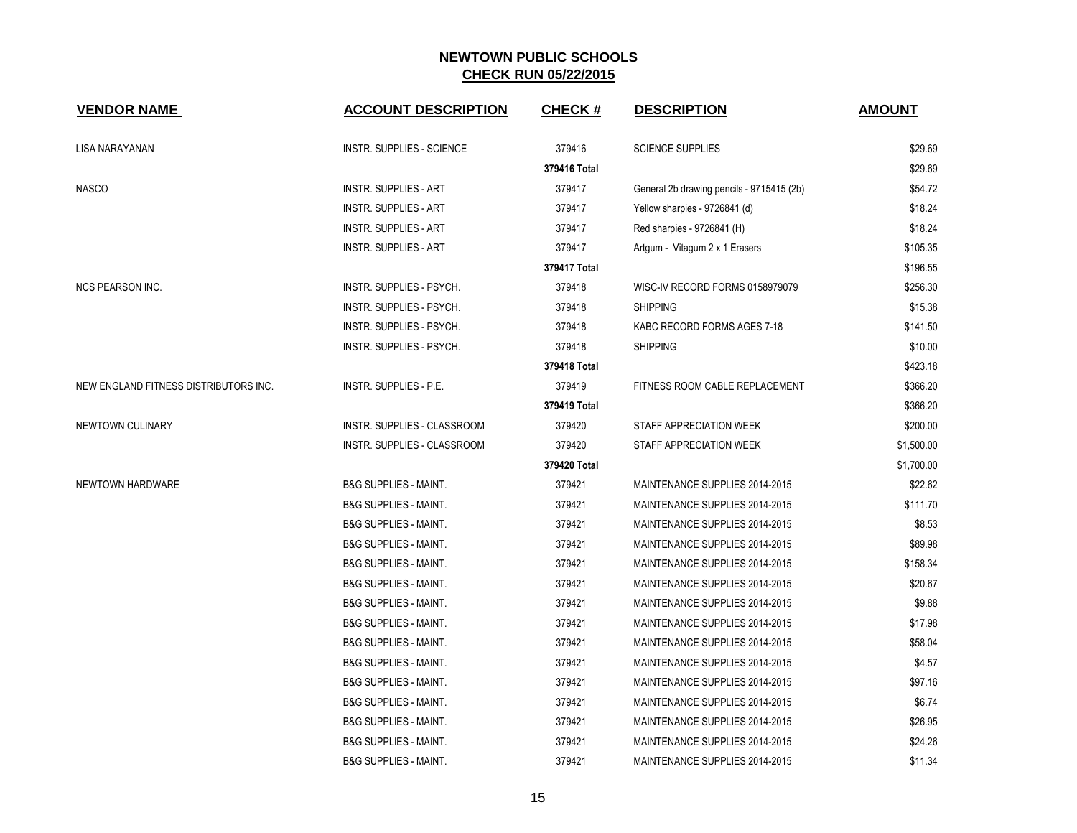| <b>VENDOR NAME</b>                    | <b>ACCOUNT DESCRIPTION</b>         | <b>CHECK#</b> | <b>DESCRIPTION</b>                        | <b>AMOUNT</b> |
|---------------------------------------|------------------------------------|---------------|-------------------------------------------|---------------|
| LISA NARAYANAN                        | INSTR. SUPPLIES - SCIENCE          | 379416        | <b>SCIENCE SUPPLIES</b>                   | \$29.69       |
|                                       |                                    | 379416 Total  |                                           | \$29.69       |
| <b>NASCO</b>                          | <b>INSTR. SUPPLIES - ART</b>       | 379417        | General 2b drawing pencils - 9715415 (2b) | \$54.72       |
|                                       | <b>INSTR. SUPPLIES - ART</b>       | 379417        | Yellow sharpies - 9726841 (d)             | \$18.24       |
|                                       | <b>INSTR. SUPPLIES - ART</b>       | 379417        | Red sharpies - 9726841 (H)                | \$18.24       |
|                                       | <b>INSTR. SUPPLIES - ART</b>       | 379417        | Artgum - Vitagum 2 x 1 Erasers            | \$105.35      |
|                                       |                                    | 379417 Total  |                                           | \$196.55      |
| <b>NCS PEARSON INC.</b>               | INSTR. SUPPLIES - PSYCH.           | 379418        | WISC-IV RECORD FORMS 0158979079           | \$256.30      |
|                                       | INSTR. SUPPLIES - PSYCH.           | 379418        | <b>SHIPPING</b>                           | \$15.38       |
|                                       | INSTR. SUPPLIES - PSYCH.           | 379418        | KABC RECORD FORMS AGES 7-18               | \$141.50      |
|                                       | <b>INSTR. SUPPLIES - PSYCH.</b>    | 379418        | <b>SHIPPING</b>                           | \$10.00       |
|                                       |                                    | 379418 Total  |                                           | \$423.18      |
| NEW ENGLAND FITNESS DISTRIBUTORS INC. | INSTR. SUPPLIES - P.E.             | 379419        | FITNESS ROOM CABLE REPLACEMENT            | \$366.20      |
|                                       |                                    | 379419 Total  |                                           | \$366.20      |
| NEWTOWN CULINARY                      | <b>INSTR. SUPPLIES - CLASSROOM</b> | 379420        | STAFF APPRECIATION WEEK                   | \$200.00      |
|                                       | INSTR. SUPPLIES - CLASSROOM        | 379420        | STAFF APPRECIATION WEEK                   | \$1,500.00    |
|                                       |                                    | 379420 Total  |                                           | \$1,700.00    |
| NEWTOWN HARDWARE                      | <b>B&amp;G SUPPLIES - MAINT.</b>   | 379421        | MAINTENANCE SUPPLIES 2014-2015            | \$22.62       |
|                                       | <b>B&amp;G SUPPLIES - MAINT.</b>   | 379421        | MAINTENANCE SUPPLIES 2014-2015            | \$111.70      |
|                                       | <b>B&amp;G SUPPLIES - MAINT.</b>   | 379421        | MAINTENANCE SUPPLIES 2014-2015            | \$8.53        |
|                                       | <b>B&amp;G SUPPLIES - MAINT.</b>   | 379421        | MAINTENANCE SUPPLIES 2014-2015            | \$89.98       |
|                                       | <b>B&amp;G SUPPLIES - MAINT.</b>   | 379421        | MAINTENANCE SUPPLIES 2014-2015            | \$158.34      |
|                                       | <b>B&amp;G SUPPLIES - MAINT.</b>   | 379421        | MAINTENANCE SUPPLIES 2014-2015            | \$20.67       |
|                                       | <b>B&amp;G SUPPLIES - MAINT.</b>   | 379421        | MAINTENANCE SUPPLIES 2014-2015            | \$9.88        |
|                                       | <b>B&amp;G SUPPLIES - MAINT.</b>   | 379421        | MAINTENANCE SUPPLIES 2014-2015            | \$17.98       |
|                                       | <b>B&amp;G SUPPLIES - MAINT.</b>   | 379421        | MAINTENANCE SUPPLIES 2014-2015            | \$58.04       |
|                                       | <b>B&amp;G SUPPLIES - MAINT.</b>   | 379421        | MAINTENANCE SUPPLIES 2014-2015            | \$4.57        |
|                                       | <b>B&amp;G SUPPLIES - MAINT.</b>   | 379421        | MAINTENANCE SUPPLIES 2014-2015            | \$97.16       |
|                                       | <b>B&amp;G SUPPLIES - MAINT.</b>   | 379421        | MAINTENANCE SUPPLIES 2014-2015            | \$6.74        |
|                                       | <b>B&amp;G SUPPLIES - MAINT.</b>   | 379421        | MAINTENANCE SUPPLIES 2014-2015            | \$26.95       |
|                                       | <b>B&amp;G SUPPLIES - MAINT.</b>   | 379421        | MAINTENANCE SUPPLIES 2014-2015            | \$24.26       |
|                                       | <b>B&amp;G SUPPLIES - MAINT.</b>   | 379421        | MAINTENANCE SUPPLIES 2014-2015            | \$11.34       |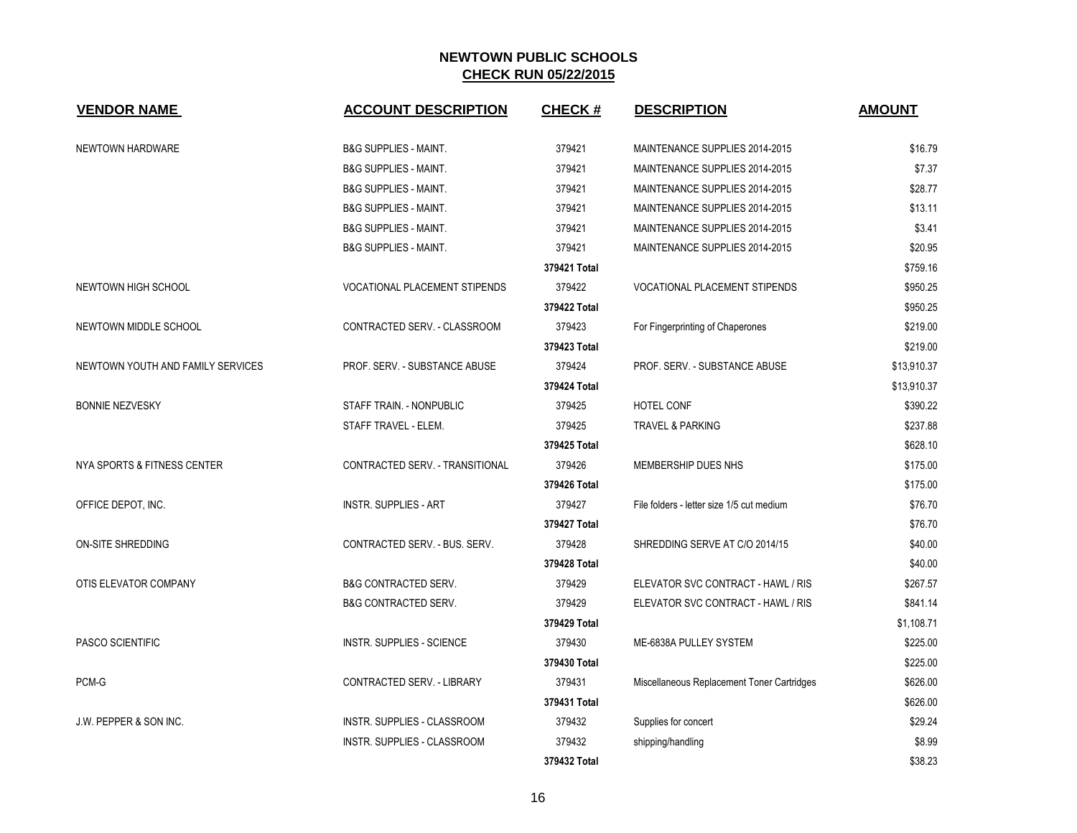| <b>VENDOR NAME</b>                | <b>ACCOUNT DESCRIPTION</b>           | <b>CHECK#</b> | <b>DESCRIPTION</b>                         | <b>AMOUNT</b> |
|-----------------------------------|--------------------------------------|---------------|--------------------------------------------|---------------|
| NEWTOWN HARDWARE                  | <b>B&amp;G SUPPLIES - MAINT.</b>     | 379421        | MAINTENANCE SUPPLIES 2014-2015             | \$16.79       |
|                                   | <b>B&amp;G SUPPLIES - MAINT.</b>     | 379421        | MAINTENANCE SUPPLIES 2014-2015             | \$7.37        |
|                                   | <b>B&amp;G SUPPLIES - MAINT.</b>     | 379421        | MAINTENANCE SUPPLIES 2014-2015             | \$28.77       |
|                                   | <b>B&amp;G SUPPLIES - MAINT.</b>     | 379421        | MAINTENANCE SUPPLIES 2014-2015             | \$13.11       |
|                                   | <b>B&amp;G SUPPLIES - MAINT.</b>     | 379421        | MAINTENANCE SUPPLIES 2014-2015             | \$3.41        |
|                                   | <b>B&amp;G SUPPLIES - MAINT.</b>     | 379421        | MAINTENANCE SUPPLIES 2014-2015             | \$20.95       |
|                                   |                                      | 379421 Total  |                                            | \$759.16      |
| NEWTOWN HIGH SCHOOL               | <b>VOCATIONAL PLACEMENT STIPENDS</b> | 379422        | <b>VOCATIONAL PLACEMENT STIPENDS</b>       | \$950.25      |
|                                   |                                      | 379422 Total  |                                            | \$950.25      |
| NEWTOWN MIDDLE SCHOOL             | CONTRACTED SERV. - CLASSROOM         | 379423        | For Fingerprinting of Chaperones           | \$219.00      |
|                                   |                                      | 379423 Total  |                                            | \$219.00      |
| NEWTOWN YOUTH AND FAMILY SERVICES | PROF. SERV. - SUBSTANCE ABUSE        | 379424        | PROF. SERV. - SUBSTANCE ABUSE              | \$13,910.37   |
|                                   |                                      | 379424 Total  |                                            | \$13,910.37   |
| <b>BONNIE NEZVESKY</b>            | STAFF TRAIN. - NONPUBLIC             | 379425        | HOTEL CONF                                 | \$390.22      |
|                                   | STAFF TRAVEL - ELEM.                 | 379425        | <b>TRAVEL &amp; PARKING</b>                | \$237.88      |
|                                   |                                      | 379425 Total  |                                            | \$628.10      |
| NYA SPORTS & FITNESS CENTER       | CONTRACTED SERV. - TRANSITIONAL      | 379426        | MEMBERSHIP DUES NHS                        | \$175.00      |
|                                   |                                      | 379426 Total  |                                            | \$175.00      |
| OFFICE DEPOT, INC.                | <b>INSTR. SUPPLIES - ART</b>         | 379427        | File folders - letter size 1/5 cut medium  | \$76.70       |
|                                   |                                      | 379427 Total  |                                            | \$76.70       |
| ON-SITE SHREDDING                 | CONTRACTED SERV. - BUS. SERV.        | 379428        | SHREDDING SERVE AT C/O 2014/15             | \$40.00       |
|                                   |                                      | 379428 Total  |                                            | \$40.00       |
| OTIS ELEVATOR COMPANY             | <b>B&amp;G CONTRACTED SERV.</b>      | 379429        | ELEVATOR SVC CONTRACT - HAWL / RIS         | \$267.57      |
|                                   | <b>B&amp;G CONTRACTED SERV.</b>      | 379429        | ELEVATOR SVC CONTRACT - HAWL / RIS         | \$841.14      |
|                                   |                                      | 379429 Total  |                                            | \$1,108.71    |
| PASCO SCIENTIFIC                  | <b>INSTR. SUPPLIES - SCIENCE</b>     | 379430        | ME-6838A PULLEY SYSTEM                     | \$225.00      |
|                                   |                                      | 379430 Total  |                                            | \$225.00      |
| PCM-G                             | CONTRACTED SERV. - LIBRARY           | 379431        | Miscellaneous Replacement Toner Cartridges | \$626.00      |
|                                   |                                      | 379431 Total  |                                            | \$626.00      |
| J.W. PEPPER & SON INC.            | INSTR. SUPPLIES - CLASSROOM          | 379432        | Supplies for concert                       | \$29.24       |
|                                   | <b>INSTR. SUPPLIES - CLASSROOM</b>   | 379432        | shipping/handling                          | \$8.99        |
|                                   |                                      | 379432 Total  |                                            | \$38.23       |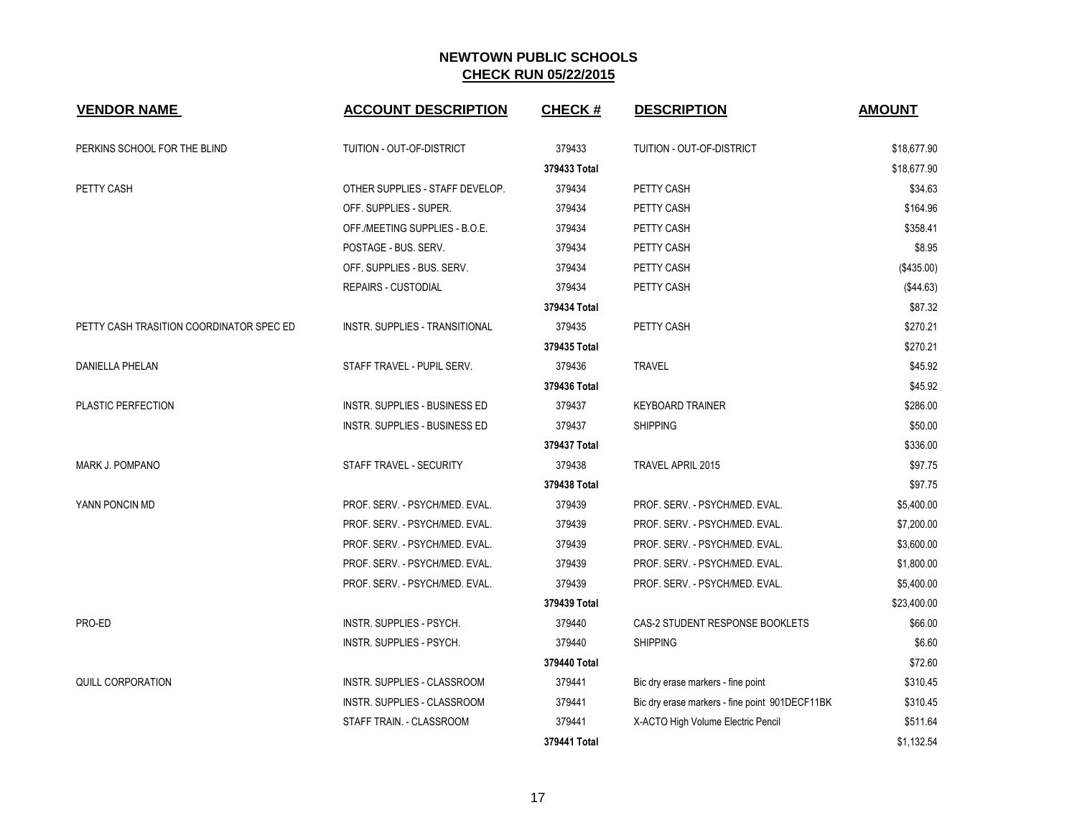| <b>VENDOR NAME</b>                       | <b>ACCOUNT DESCRIPTION</b>           | <b>CHECK#</b> | <b>DESCRIPTION</b>                             | <b>AMOUNT</b> |
|------------------------------------------|--------------------------------------|---------------|------------------------------------------------|---------------|
| PERKINS SCHOOL FOR THE BLIND             | TUITION - OUT-OF-DISTRICT            | 379433        | TUITION - OUT-OF-DISTRICT                      | \$18,677.90   |
|                                          |                                      | 379433 Total  |                                                | \$18,677.90   |
| PETTY CASH                               | OTHER SUPPLIES - STAFF DEVELOP.      | 379434        | PETTY CASH                                     | \$34.63       |
|                                          | OFF. SUPPLIES - SUPER.               | 379434        | PETTY CASH                                     | \$164.96      |
|                                          | OFF./MEETING SUPPLIES - B.O.E.       | 379434        | PETTY CASH                                     | \$358.41      |
|                                          | POSTAGE - BUS. SERV.                 | 379434        | PETTY CASH                                     | \$8.95        |
|                                          | OFF. SUPPLIES - BUS. SERV.           | 379434        | PETTY CASH                                     | (\$435.00)    |
|                                          | <b>REPAIRS - CUSTODIAL</b>           | 379434        | PETTY CASH                                     | (\$44.63)     |
|                                          |                                      | 379434 Total  |                                                | \$87.32       |
| PETTY CASH TRASITION COORDINATOR SPEC ED | INSTR. SUPPLIES - TRANSITIONAL       | 379435        | PETTY CASH                                     | \$270.21      |
|                                          |                                      | 379435 Total  |                                                | \$270.21      |
| <b>DANIELLA PHELAN</b>                   | STAFF TRAVEL - PUPIL SERV.           | 379436        | <b>TRAVEL</b>                                  | \$45.92       |
|                                          |                                      | 379436 Total  |                                                | \$45.92       |
| PLASTIC PERFECTION                       | <b>INSTR. SUPPLIES - BUSINESS ED</b> | 379437        | <b>KEYBOARD TRAINER</b>                        | \$286.00      |
|                                          | <b>INSTR. SUPPLIES - BUSINESS ED</b> | 379437        | <b>SHIPPING</b>                                | \$50.00       |
|                                          |                                      | 379437 Total  |                                                | \$336.00      |
| <b>MARK J. POMPANO</b>                   | STAFF TRAVEL - SECURITY              | 379438        | TRAVEL APRIL 2015                              | \$97.75       |
|                                          |                                      | 379438 Total  |                                                | \$97.75       |
| YANN PONCIN MD                           | PROF. SERV. - PSYCH/MED. EVAL.       | 379439        | PROF. SERV. - PSYCH/MED. EVAL.                 | \$5,400.00    |
|                                          | PROF. SERV. - PSYCH/MED. EVAL.       | 379439        | PROF. SERV. - PSYCH/MED. EVAL.                 | \$7,200.00    |
|                                          | PROF. SERV. - PSYCH/MED. EVAL.       | 379439        | PROF. SERV. - PSYCH/MED. EVAL.                 | \$3,600.00    |
|                                          | PROF. SERV. - PSYCH/MED. EVAL.       | 379439        | PROF. SERV. - PSYCH/MED. EVAL.                 | \$1,800.00    |
|                                          | PROF. SERV. - PSYCH/MED. EVAL.       | 379439        | PROF. SERV. - PSYCH/MED. EVAL.                 | \$5,400.00    |
|                                          |                                      | 379439 Total  |                                                | \$23,400.00   |
| PRO-ED                                   | INSTR. SUPPLIES - PSYCH.             | 379440        | CAS-2 STUDENT RESPONSE BOOKLETS                | \$66.00       |
|                                          | INSTR. SUPPLIES - PSYCH.             | 379440        | <b>SHIPPING</b>                                | \$6.60        |
|                                          |                                      | 379440 Total  |                                                | \$72.60       |
| QUILL CORPORATION                        | INSTR. SUPPLIES - CLASSROOM          | 379441        | Bic dry erase markers - fine point             | \$310.45      |
|                                          | INSTR. SUPPLIES - CLASSROOM          | 379441        | Bic dry erase markers - fine point 901DECF11BK | \$310.45      |
|                                          | STAFF TRAIN. - CLASSROOM             | 379441        | X-ACTO High Volume Electric Pencil             | \$511.64      |
|                                          |                                      | 379441 Total  |                                                | \$1,132.54    |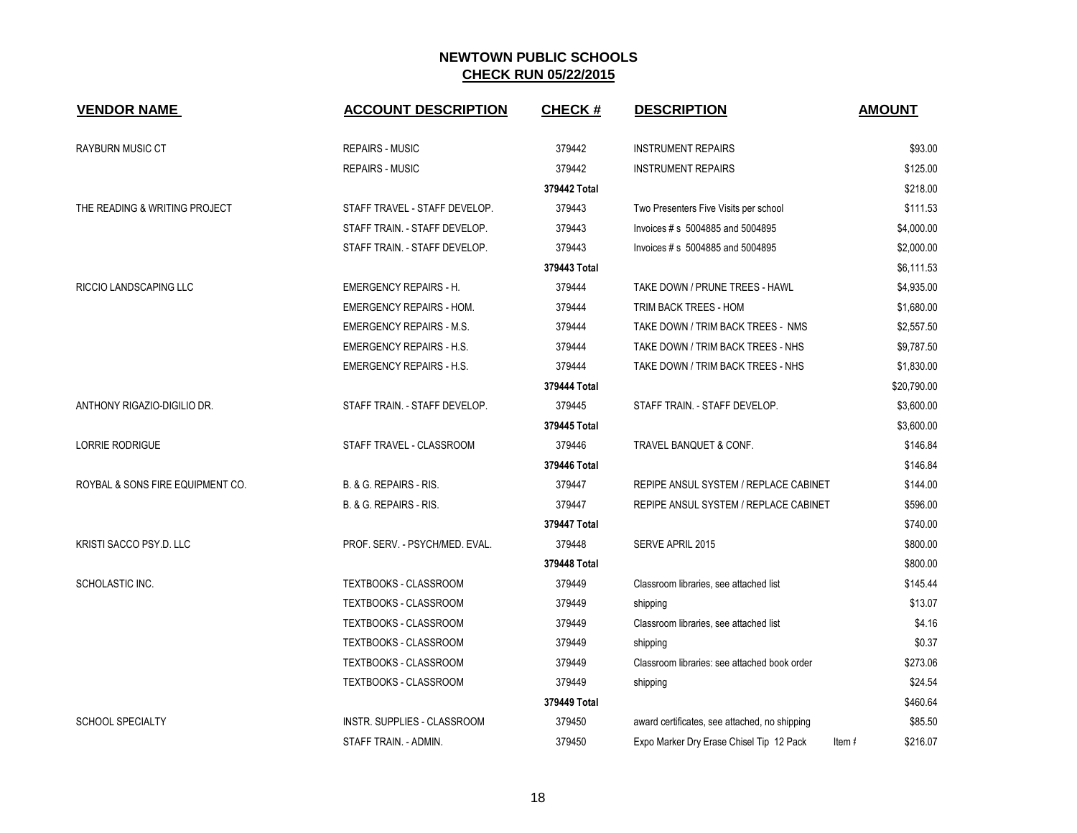| <b>VENDOR NAME</b>               | <b>ACCOUNT DESCRIPTION</b>      | <b>CHECK#</b> | <b>DESCRIPTION</b>                            | <b>AMOUNT</b>      |
|----------------------------------|---------------------------------|---------------|-----------------------------------------------|--------------------|
| <b>RAYBURN MUSIC CT</b>          | <b>REPAIRS - MUSIC</b>          | 379442        | <b>INSTRUMENT REPAIRS</b>                     | \$93.00            |
|                                  | <b>REPAIRS - MUSIC</b>          | 379442        | <b>INSTRUMENT REPAIRS</b>                     | \$125.00           |
|                                  |                                 | 379442 Total  |                                               | \$218.00           |
| THE READING & WRITING PROJECT    | STAFF TRAVEL - STAFF DEVELOP.   | 379443        | Two Presenters Five Visits per school         | \$111.53           |
|                                  | STAFF TRAIN. - STAFF DEVELOP.   | 379443        | Invoices # s 5004885 and 5004895              | \$4,000.00         |
|                                  | STAFF TRAIN. - STAFF DEVELOP.   | 379443        | Invoices # s 5004885 and 5004895              | \$2,000.00         |
|                                  |                                 | 379443 Total  |                                               | \$6,111.53         |
| <b>RICCIO LANDSCAPING LLC</b>    | <b>EMERGENCY REPAIRS - H.</b>   | 379444        | TAKE DOWN / PRUNE TREES - HAWL                | \$4,935.00         |
|                                  | <b>EMERGENCY REPAIRS - HOM.</b> | 379444        | TRIM BACK TREES - HOM                         | \$1,680.00         |
|                                  | <b>EMERGENCY REPAIRS - M.S.</b> | 379444        | TAKE DOWN / TRIM BACK TREES - NMS             | \$2,557.50         |
|                                  | <b>EMERGENCY REPAIRS - H.S.</b> | 379444        | TAKE DOWN / TRIM BACK TREES - NHS             | \$9,787.50         |
|                                  | <b>EMERGENCY REPAIRS - H.S.</b> | 379444        | TAKE DOWN / TRIM BACK TREES - NHS             | \$1,830.00         |
|                                  |                                 | 379444 Total  |                                               | \$20,790.00        |
| ANTHONY RIGAZIO-DIGILIO DR.      | STAFF TRAIN. - STAFF DEVELOP.   | 379445        | STAFF TRAIN. - STAFF DEVELOP.                 | \$3,600.00         |
|                                  |                                 | 379445 Total  |                                               | \$3,600.00         |
| <b>LORRIE RODRIGUE</b>           | STAFF TRAVEL - CLASSROOM        | 379446        | <b>TRAVEL BANQUET &amp; CONF.</b>             | \$146.84           |
|                                  |                                 | 379446 Total  |                                               | \$146.84           |
| ROYBAL & SONS FIRE EQUIPMENT CO. | B. & G. REPAIRS - RIS.          | 379447        | REPIPE ANSUL SYSTEM / REPLACE CABINET         | \$144.00           |
|                                  | B. & G. REPAIRS - RIS.          | 379447        | REPIPE ANSUL SYSTEM / REPLACE CABINET         | \$596.00           |
|                                  |                                 | 379447 Total  |                                               | \$740.00           |
| KRISTI SACCO PSY.D. LLC          | PROF. SERV. - PSYCH/MED. EVAL.  | 379448        | <b>SERVE APRIL 2015</b>                       | \$800.00           |
|                                  |                                 | 379448 Total  |                                               | \$800.00           |
| SCHOLASTIC INC.                  | TEXTBOOKS - CLASSROOM           | 379449        | Classroom libraries, see attached list        | \$145.44           |
|                                  | TEXTBOOKS - CLASSROOM           | 379449        | shipping                                      | \$13.07            |
|                                  | TEXTBOOKS - CLASSROOM           | 379449        | Classroom libraries, see attached list        | \$4.16             |
|                                  | TEXTBOOKS - CLASSROOM           | 379449        | shipping                                      | \$0.37             |
|                                  | TEXTBOOKS - CLASSROOM           | 379449        | Classroom libraries: see attached book order  | \$273.06           |
|                                  | TEXTBOOKS - CLASSROOM           | 379449        | shipping                                      | \$24.54            |
|                                  |                                 | 379449 Total  |                                               | \$460.64           |
| <b>SCHOOL SPECIALTY</b>          | INSTR. SUPPLIES - CLASSROOM     | 379450        | award certificates, see attached, no shipping | \$85.50            |
|                                  | STAFF TRAIN. - ADMIN.           | 379450        | Expo Marker Dry Erase Chisel Tip 12 Pack      | \$216.07<br>Item # |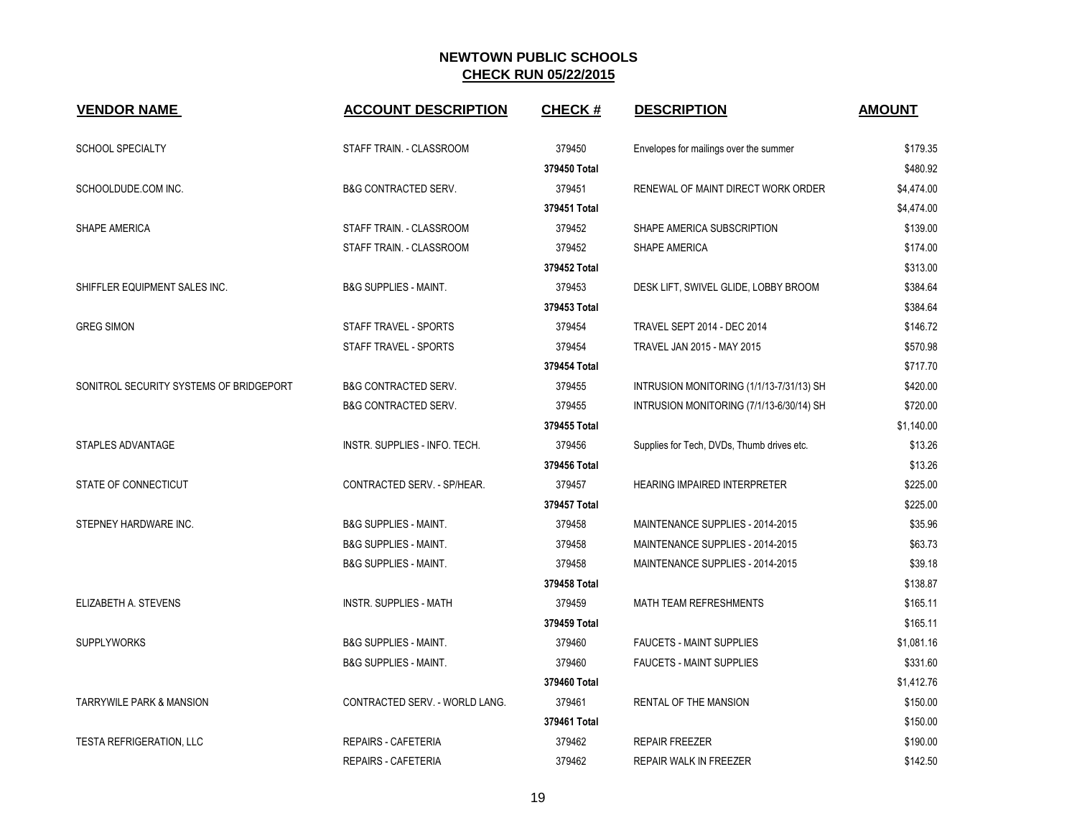| <b>VENDOR NAME</b>                      | <b>ACCOUNT DESCRIPTION</b>       | <b>CHECK#</b> | <b>DESCRIPTION</b>                         | <b>AMOUNT</b> |
|-----------------------------------------|----------------------------------|---------------|--------------------------------------------|---------------|
| SCHOOL SPECIALTY                        | STAFF TRAIN. - CLASSROOM         | 379450        | Envelopes for mailings over the summer     | \$179.35      |
|                                         |                                  | 379450 Total  |                                            | \$480.92      |
| SCHOOLDUDE.COM INC.                     | <b>B&amp;G CONTRACTED SERV.</b>  | 379451        | RENEWAL OF MAINT DIRECT WORK ORDER         | \$4,474.00    |
|                                         |                                  | 379451 Total  |                                            | \$4,474.00    |
| SHAPE AMERICA                           | STAFF TRAIN. - CLASSROOM         | 379452        | SHAPE AMERICA SUBSCRIPTION                 | \$139.00      |
|                                         | STAFF TRAIN. - CLASSROOM         | 379452        | SHAPE AMERICA                              | \$174.00      |
|                                         |                                  | 379452 Total  |                                            | \$313.00      |
| SHIFFLER EQUIPMENT SALES INC.           | <b>B&amp;G SUPPLIES - MAINT.</b> | 379453        | DESK LIFT, SWIVEL GLIDE, LOBBY BROOM       | \$384.64      |
|                                         |                                  | 379453 Total  |                                            | \$384.64      |
| <b>GREG SIMON</b>                       | STAFF TRAVEL - SPORTS            | 379454        | <b>TRAVEL SEPT 2014 - DEC 2014</b>         | \$146.72      |
|                                         | STAFF TRAVEL - SPORTS            | 379454        | TRAVEL JAN 2015 - MAY 2015                 | \$570.98      |
|                                         |                                  | 379454 Total  |                                            | \$717.70      |
| SONITROL SECURITY SYSTEMS OF BRIDGEPORT | <b>B&amp;G CONTRACTED SERV.</b>  | 379455        | INTRUSION MONITORING (1/1/13-7/31/13) SH   | \$420.00      |
|                                         | <b>B&amp;G CONTRACTED SERV.</b>  | 379455        | INTRUSION MONITORING (7/1/13-6/30/14) SH   | \$720.00      |
|                                         |                                  | 379455 Total  |                                            | \$1,140.00    |
| STAPLES ADVANTAGE                       | INSTR. SUPPLIES - INFO. TECH.    | 379456        | Supplies for Tech, DVDs, Thumb drives etc. | \$13.26       |
|                                         |                                  | 379456 Total  |                                            | \$13.26       |
| STATE OF CONNECTICUT                    | CONTRACTED SERV. - SP/HEAR.      | 379457        | HEARING IMPAIRED INTERPRETER               | \$225.00      |
|                                         |                                  | 379457 Total  |                                            | \$225.00      |
| STEPNEY HARDWARE INC.                   | <b>B&amp;G SUPPLIES - MAINT.</b> | 379458        | MAINTENANCE SUPPLIES - 2014-2015           | \$35.96       |
|                                         | <b>B&amp;G SUPPLIES - MAINT.</b> | 379458        | MAINTENANCE SUPPLIES - 2014-2015           | \$63.73       |
|                                         | <b>B&amp;G SUPPLIES - MAINT.</b> | 379458        | MAINTENANCE SUPPLIES - 2014-2015           | \$39.18       |
|                                         |                                  | 379458 Total  |                                            | \$138.87      |
| ELIZABETH A. STEVENS                    | <b>INSTR. SUPPLIES - MATH</b>    | 379459        | MATH TEAM REFRESHMENTS                     | \$165.11      |
|                                         |                                  | 379459 Total  |                                            | \$165.11      |
| <b>SUPPLYWORKS</b>                      | <b>B&amp;G SUPPLIES - MAINT.</b> | 379460        | <b>FAUCETS - MAINT SUPPLIES</b>            | \$1,081.16    |
|                                         | <b>B&amp;G SUPPLIES - MAINT.</b> | 379460        | <b>FAUCETS - MAINT SUPPLIES</b>            | \$331.60      |
|                                         |                                  | 379460 Total  |                                            | \$1,412.76    |
| <b>TARRYWILE PARK &amp; MANSION</b>     | CONTRACTED SERV. - WORLD LANG.   | 379461        | <b>RENTAL OF THE MANSION</b>               | \$150.00      |
|                                         |                                  | 379461 Total  |                                            | \$150.00      |
| <b>TESTA REFRIGERATION, LLC</b>         | <b>REPAIRS - CAFETERIA</b>       | 379462        | <b>REPAIR FREEZER</b>                      | \$190.00      |
|                                         | <b>REPAIRS - CAFETERIA</b>       | 379462        | REPAIR WALK IN FREEZER                     | \$142.50      |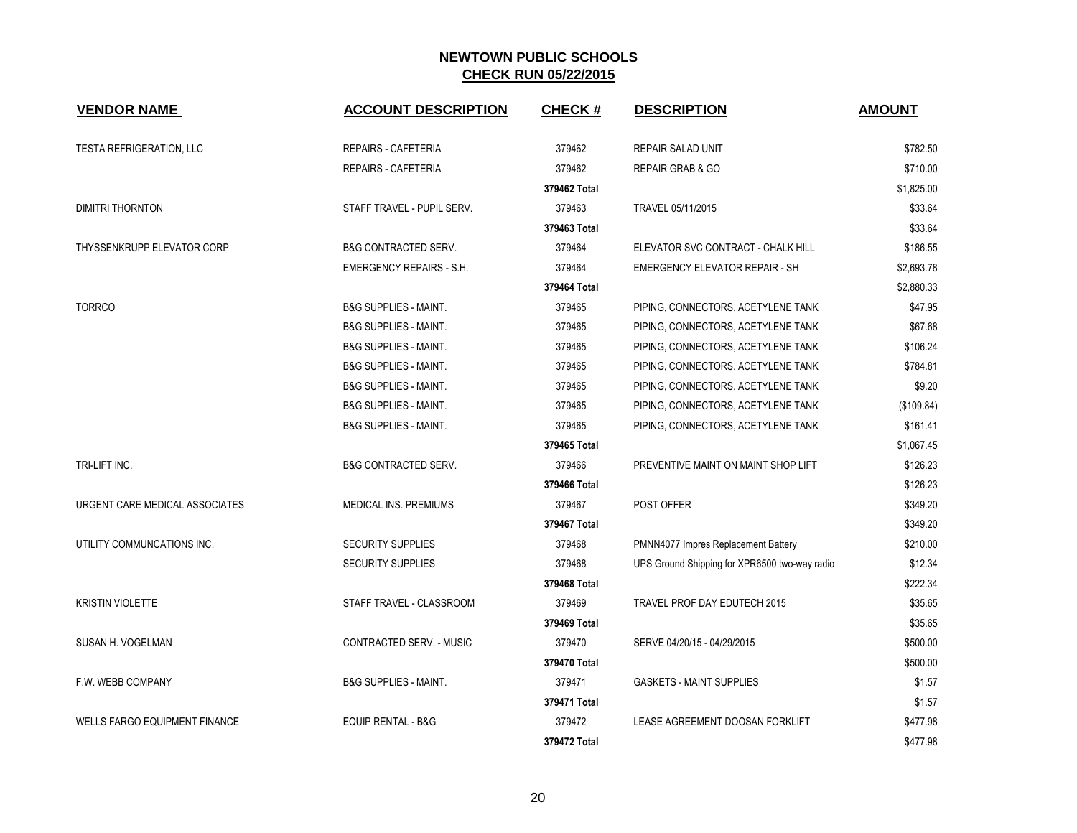| <b>VENDOR NAME</b>                   | <b>ACCOUNT DESCRIPTION</b>       | <b>CHECK#</b> | <b>DESCRIPTION</b>                            | <b>AMOUNT</b> |
|--------------------------------------|----------------------------------|---------------|-----------------------------------------------|---------------|
| <b>TESTA REFRIGERATION, LLC</b>      | <b>REPAIRS - CAFETERIA</b>       | 379462        | <b>REPAIR SALAD UNIT</b>                      | \$782.50      |
|                                      | <b>REPAIRS - CAFETERIA</b>       | 379462        | <b>REPAIR GRAB &amp; GO</b>                   | \$710.00      |
|                                      |                                  | 379462 Total  |                                               | \$1,825.00    |
| <b>DIMITRI THORNTON</b>              | STAFF TRAVEL - PUPIL SERV.       | 379463        | TRAVEL 05/11/2015                             | \$33.64       |
|                                      |                                  | 379463 Total  |                                               | \$33.64       |
| <b>THYSSENKRUPP ELEVATOR CORP</b>    | <b>B&amp;G CONTRACTED SERV.</b>  | 379464        | ELEVATOR SVC CONTRACT - CHALK HILL            | \$186.55      |
|                                      | <b>EMERGENCY REPAIRS - S.H.</b>  | 379464        | <b>EMERGENCY ELEVATOR REPAIR - SH</b>         | \$2,693.78    |
|                                      |                                  | 379464 Total  |                                               | \$2,880.33    |
| <b>TORRCO</b>                        | <b>B&amp;G SUPPLIES - MAINT.</b> | 379465        | PIPING, CONNECTORS, ACETYLENE TANK            | \$47.95       |
|                                      | <b>B&amp;G SUPPLIES - MAINT.</b> | 379465        | PIPING, CONNECTORS, ACETYLENE TANK            | \$67.68       |
|                                      | <b>B&amp;G SUPPLIES - MAINT.</b> | 379465        | PIPING, CONNECTORS, ACETYLENE TANK            | \$106.24      |
|                                      | <b>B&amp;G SUPPLIES - MAINT.</b> | 379465        | PIPING, CONNECTORS, ACETYLENE TANK            | \$784.81      |
|                                      | <b>B&amp;G SUPPLIES - MAINT.</b> | 379465        | PIPING, CONNECTORS, ACETYLENE TANK            | \$9.20        |
|                                      | <b>B&amp;G SUPPLIES - MAINT.</b> | 379465        | PIPING, CONNECTORS, ACETYLENE TANK            | (\$109.84)    |
|                                      | <b>B&amp;G SUPPLIES - MAINT.</b> | 379465        | PIPING, CONNECTORS, ACETYLENE TANK            | \$161.41      |
|                                      |                                  | 379465 Total  |                                               | \$1,067.45    |
| TRI-LIFT INC.                        | <b>B&amp;G CONTRACTED SERV.</b>  | 379466        | PREVENTIVE MAINT ON MAINT SHOP LIFT           | \$126.23      |
|                                      |                                  | 379466 Total  |                                               | \$126.23      |
| URGENT CARE MEDICAL ASSOCIATES       | <b>MEDICAL INS. PREMIUMS</b>     | 379467        | POST OFFER                                    | \$349.20      |
|                                      |                                  | 379467 Total  |                                               | \$349.20      |
| UTILITY COMMUNCATIONS INC.           | <b>SECURITY SUPPLIES</b>         | 379468        | PMNN4077 Impres Replacement Battery           | \$210.00      |
|                                      | <b>SECURITY SUPPLIES</b>         | 379468        | UPS Ground Shipping for XPR6500 two-way radio | \$12.34       |
|                                      |                                  | 379468 Total  |                                               | \$222.34      |
| <b>KRISTIN VIOLETTE</b>              | STAFF TRAVEL - CLASSROOM         | 379469        | TRAVEL PROF DAY EDUTECH 2015                  | \$35.65       |
|                                      |                                  | 379469 Total  |                                               | \$35.65       |
| SUSAN H. VOGELMAN                    | CONTRACTED SERV. - MUSIC         | 379470        | SERVE 04/20/15 - 04/29/2015                   | \$500.00      |
|                                      |                                  | 379470 Total  |                                               | \$500.00      |
| F.W. WEBB COMPANY                    | <b>B&amp;G SUPPLIES - MAINT.</b> | 379471        | <b>GASKETS - MAINT SUPPLIES</b>               | \$1.57        |
|                                      |                                  | 379471 Total  |                                               | \$1.57        |
| <b>WELLS FARGO EQUIPMENT FINANCE</b> | <b>EQUIP RENTAL - B&amp;G</b>    | 379472        | LEASE AGREEMENT DOOSAN FORKLIFT               | \$477.98      |
|                                      |                                  | 379472 Total  |                                               | \$477.98      |